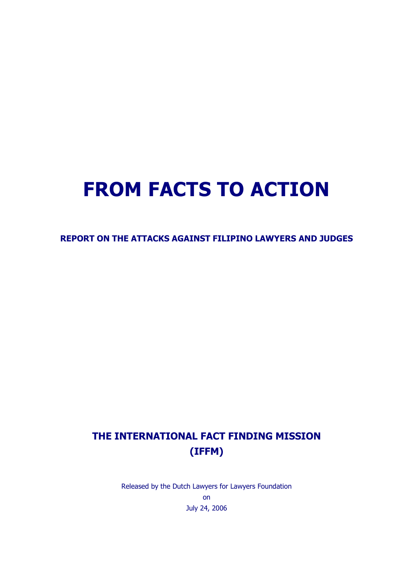# FROM FACTS TO ACTION

REPORT ON THE ATTACKS AGAINST FILIPINO LAWYERS AND JUDGES

# THE INTERNATIONAL FACT FINDING MISSION (IFFM)

Released by the Dutch Lawyers for Lawyers Foundation on July 24, 2006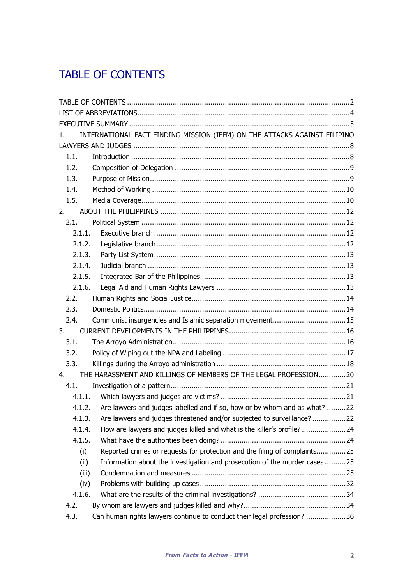# TABLE OF CONTENTS

| 1.     | INTERNATIONAL FACT FINDING MISSION (IFFM) ON THE ATTACKS AGAINST FILIPINO        |  |  |
|--------|----------------------------------------------------------------------------------|--|--|
|        |                                                                                  |  |  |
| 1.1.   |                                                                                  |  |  |
| 1.2.   |                                                                                  |  |  |
| 1.3.   |                                                                                  |  |  |
| 1.4.   |                                                                                  |  |  |
| 1.5.   |                                                                                  |  |  |
| 2.     |                                                                                  |  |  |
| 2.1.   |                                                                                  |  |  |
| 2.1.1. |                                                                                  |  |  |
| 2.1.2. |                                                                                  |  |  |
| 2.1.3. |                                                                                  |  |  |
| 2.1.4. |                                                                                  |  |  |
| 2.1.5. |                                                                                  |  |  |
| 2.1.6. |                                                                                  |  |  |
| 2.2.   |                                                                                  |  |  |
| 2.3.   |                                                                                  |  |  |
| 2.4.   | Communist insurgencies and Islamic separation movement 15                        |  |  |
| 3.     |                                                                                  |  |  |
| 3.1.   |                                                                                  |  |  |
| 3.2.   |                                                                                  |  |  |
| 3.3.   |                                                                                  |  |  |
| 4.     | THE HARASSMENT AND KILLINGS OF MEMBERS OF THE LEGAL PROFESSION20                 |  |  |
| 4.1.   |                                                                                  |  |  |
| 4.1.1. |                                                                                  |  |  |
|        | 4.1.2. Are lawyers and judges labelled and if so, how or by whom and as what? 22 |  |  |
| 4.1.3. | Are lawyers and judges threatened and/or subjected to surveillance?22            |  |  |
| 4.1.4. | How are lawyers and judges killed and what is the killer's profile?24            |  |  |
| 4.1.5. |                                                                                  |  |  |
| (i)    | Reported crimes or requests for protection and the filing of complaints25        |  |  |
| (ii)   | Information about the investigation and prosecution of the murder cases 25       |  |  |
| (iii)  |                                                                                  |  |  |
| (iv)   |                                                                                  |  |  |
| 4.1.6. |                                                                                  |  |  |
| 4.2.   |                                                                                  |  |  |
| 4.3.   | Can human rights lawyers continue to conduct their legal profession? 36          |  |  |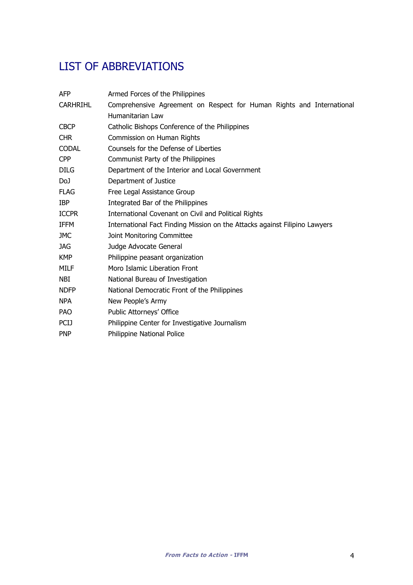# LIST OF ABBREVIATIONS

| <b>AFP</b>      | Armed Forces of the Philippines                                            |
|-----------------|----------------------------------------------------------------------------|
| <b>CARHRIHL</b> | Comprehensive Agreement on Respect for Human Rights and International      |
|                 | Humanitarian Law                                                           |
| <b>CBCP</b>     | Catholic Bishops Conference of the Philippines                             |
| <b>CHR</b>      | Commission on Human Rights                                                 |
| <b>CODAL</b>    | Counsels for the Defense of Liberties                                      |
| <b>CPP</b>      | Communist Party of the Philippines                                         |
| <b>DILG</b>     | Department of the Interior and Local Government                            |
| DoJ             | Department of Justice                                                      |
| <b>FLAG</b>     | Free Legal Assistance Group                                                |
| <b>IBP</b>      | Integrated Bar of the Philippines                                          |
| <b>ICCPR</b>    | International Covenant on Civil and Political Rights                       |
| <b>IFFM</b>     | International Fact Finding Mission on the Attacks against Filipino Lawyers |
| <b>JMC</b>      | Joint Monitoring Committee                                                 |
| JAG             | Judge Advocate General                                                     |
| KMP             | Philippine peasant organization                                            |
| MILF            | Moro Islamic Liberation Front                                              |
| NBI.            | National Bureau of Investigation                                           |
| <b>NDFP</b>     | National Democratic Front of the Philippines                               |
| <b>NPA</b>      | New People's Army                                                          |
| <b>PAO</b>      | Public Attorneys' Office                                                   |
| <b>PCIJ</b>     | Philippine Center for Investigative Journalism                             |
| <b>PNP</b>      | <b>Philippine National Police</b>                                          |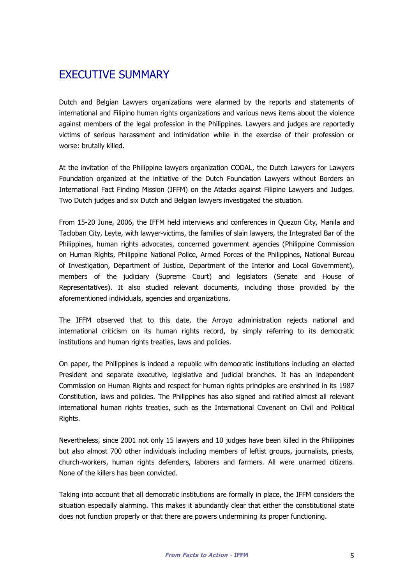# EXECUTIVE SUMMARY

Dutch and Belgian Lawyers organizations were alarmed by the reports and statements of international and Filipino human rights organizations and various news items about the violence against members of the legal profession in the Philippines. Lawyers and judges are reportedly victims of serious harassment and intimidation while in the exercise of their profession or worse: brutally killed.

At the invitation of the Philippine lawyers organization CODAL, the Dutch Lawyers for Lawyers Foundation organized at the initiative of the Dutch Foundation Lawyers without Borders an International Fact Finding Mission (IFFM) on the Attacks against Filipino Lawyers and Judges. Two Dutch judges and six Dutch and Belgian lawyers investigated the situation.

From 15-20 June, 2006, the IFFM held interviews and conferences in Quezon City, Manila and Tacloban City, Leyte, with lawyer-victims, the families of slain lawyers, the Integrated Bar of the Philippines, human rights advocates, concerned government agencies (Philippine Commission on Human Rights, Philippine National Police, Armed Forces of the Philippines, National Bureau of Investigation, Department of Justice, Department of the Interior and Local Government), members of the judiciary (Supreme Court) and legislators (Senate and House of Representatives). It also studied relevant documents, including those provided by the aforementioned individuals, agencies and organizations.

The IFFM observed that to this date, the Arroyo administration rejects national and international criticism on its human rights record, by simply referring to its democratic institutions and human rights treaties, laws and policies.

On paper, the Philippines is indeed a republic with democratic institutions including an elected President and separate executive, legislative and judicial branches. It has an independent Commission on Human Rights and respect for human rights principles are enshrined in its 1987 Constitution, laws and policies. The Philippines has also signed and ratified almost all relevant international human rights treaties, such as the International Covenant on Civil and Political Rights.

Nevertheless, since 2001 not only 15 lawyers and 10 judges have been killed in the Philippines but also almost 700 other individuals including members of leftist groups, journalists, priests, church-workers, human rights defenders, laborers and farmers. All were unarmed citizens. None of the killers has been convicted.

Taking into account that all democratic institutions are formally in place, the IFFM considers the situation especially alarming. This makes it abundantly clear that either the constitutional state does not function properly or that there are powers undermining its proper functioning.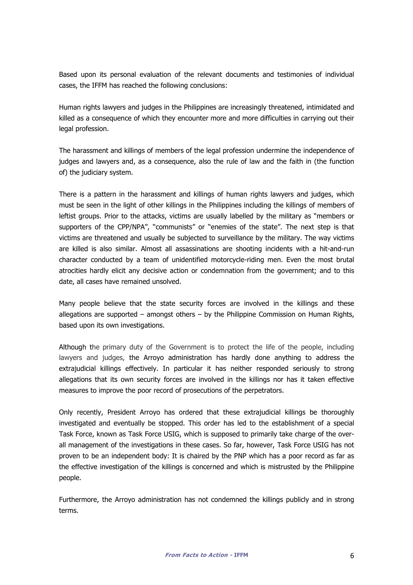Based upon its personal evaluation of the relevant documents and testimonies of individual cases, the IFFM has reached the following conclusions:

Human rights lawyers and judges in the Philippines are increasingly threatened, intimidated and killed as a consequence of which they encounter more and more difficulties in carrying out their legal profession.

The harassment and killings of members of the legal profession undermine the independence of judges and lawyers and, as a consequence, also the rule of law and the faith in (the function of) the judiciary system.

There is a pattern in the harassment and killings of human rights lawyers and judges, which must be seen in the light of other killings in the Philippines including the killings of members of leftist groups. Prior to the attacks, victims are usually labelled by the military as "members or supporters of the CPP/NPA", "communists" or "enemies of the state". The next step is that victims are threatened and usually be subjected to surveillance by the military. The way victims are killed is also similar. Almost all assassinations are shooting incidents with a hit-and-run character conducted by a team of unidentified motorcycle-riding men. Even the most brutal atrocities hardly elicit any decisive action or condemnation from the government; and to this date, all cases have remained unsolved.

Many people believe that the state security forces are involved in the killings and these allegations are supported  $-$  amongst others  $-$  by the Philippine Commission on Human Rights, based upon its own investigations.

Although the primary duty of the Government is to protect the life of the people, including lawyers and judges, the Arroyo administration has hardly done anything to address the extrajudicial killings effectively. In particular it has neither responded seriously to strong allegations that its own security forces are involved in the killings nor has it taken effective measures to improve the poor record of prosecutions of the perpetrators.

Only recently, President Arroyo has ordered that these extrajudicial killings be thoroughly investigated and eventually be stopped. This order has led to the establishment of a special Task Force, known as Task Force USIG, which is supposed to primarily take charge of the overall management of the investigations in these cases. So far, however, Task Force USIG has not proven to be an independent body: It is chaired by the PNP which has a poor record as far as the effective investigation of the killings is concerned and which is mistrusted by the Philippine people.

Furthermore, the Arroyo administration has not condemned the killings publicly and in strong terms.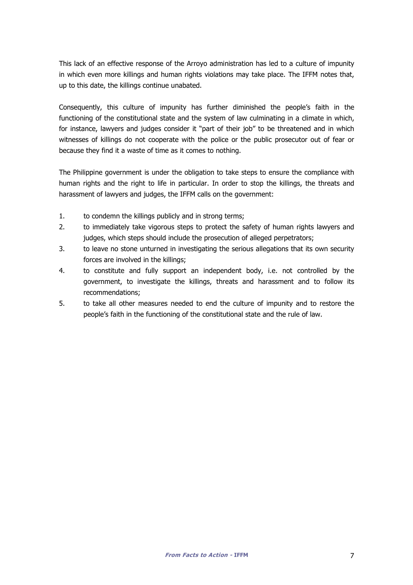This lack of an effective response of the Arroyo administration has led to a culture of impunity in which even more killings and human rights violations may take place. The IFFM notes that, up to this date, the killings continue unabated.

Consequently, this culture of impunity has further diminished the people's faith in the functioning of the constitutional state and the system of law culminating in a climate in which, for instance, lawyers and judges consider it "part of their job" to be threatened and in which witnesses of killings do not cooperate with the police or the public prosecutor out of fear or because they find it a waste of time as it comes to nothing.

The Philippine government is under the obligation to take steps to ensure the compliance with human rights and the right to life in particular. In order to stop the killings, the threats and harassment of lawyers and judges, the IFFM calls on the government:

- 1. to condemn the killings publicly and in strong terms;
- 2. to immediately take vigorous steps to protect the safety of human rights lawyers and judges, which steps should include the prosecution of alleged perpetrators;
- 3. to leave no stone unturned in investigating the serious allegations that its own security forces are involved in the killings;
- 4. to constitute and fully support an independent body, i.e. not controlled by the government, to investigate the killings, threats and harassment and to follow its recommendations;
- 5. to take all other measures needed to end the culture of impunity and to restore the people's faith in the functioning of the constitutional state and the rule of law.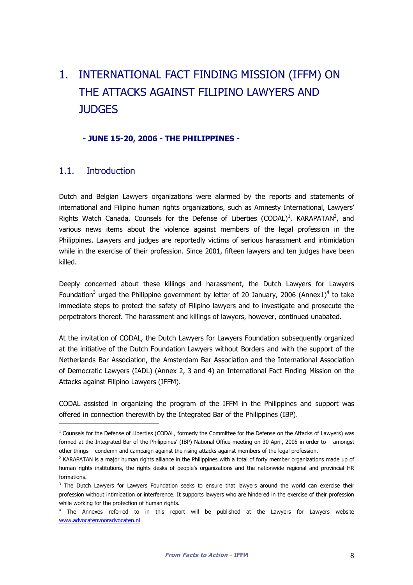# 1. INTERNATIONAL FACT FINDING MISSION (IFFM) ON THE ATTACKS AGAINST FILIPINO LAWYERS AND **JUDGES**

#### - JUNE 15-20, 2006 - THE PHILIPPINES -

### 1.1. Introduction

i,

Dutch and Belgian Lawyers organizations were alarmed by the reports and statements of international and Filipino human rights organizations, such as Amnesty International, Lawyers' Rights Watch Canada, Counsels for the Defense of Liberties  $(CODAL)^1$ , KARAPATAN<sup>2</sup>, and various news items about the violence against members of the legal profession in the Philippines. Lawyers and judges are reportedly victims of serious harassment and intimidation while in the exercise of their profession. Since 2001, fifteen lawyers and ten judges have been killed.

Deeply concerned about these killings and harassment, the Dutch Lawyers for Lawyers Foundation<sup>3</sup> urged the Philippine government by letter of 20 January, 2006 (Annex1)<sup>4</sup> to take immediate steps to protect the safety of Filipino lawyers and to investigate and prosecute the perpetrators thereof. The harassment and killings of lawyers, however, continued unabated.

At the invitation of CODAL, the Dutch Lawyers for Lawyers Foundation subsequently organized at the initiative of the Dutch Foundation Lawyers without Borders and with the support of the Netherlands Bar Association, the Amsterdam Bar Association and the International Association of Democratic Lawyers (IADL) (Annex 2, 3 and 4) an International Fact Finding Mission on the Attacks against Filipino Lawyers (IFFM).

CODAL assisted in organizing the program of the IFFM in the Philippines and support was offered in connection therewith by the Integrated Bar of the Philippines (IBP).

<sup>1</sup> Counsels for the Defense of Liberties (CODAL, formerly the Committee for the Defense on the Attacks of Lawyers) was formed at the Integrated Bar of the Philippines' (IBP) National Office meeting on 30 April, 2005 in order to – amongst other things – condemn and campaign against the rising attacks against members of the legal profession.

<sup>&</sup>lt;sup>2</sup> KARAPATAN is a major human rights alliance in the Philippines with a total of forty member organizations made up of human rights institutions, the rights desks of people's organizations and the nationwide regional and provincial HR formations.

<sup>&</sup>lt;sup>3</sup> The Dutch Lawyers for Lawyers Foundation seeks to ensure that lawyers around the world can exercise their profession without intimidation or interference. It supports lawyers who are hindered in the exercise of their profession while working for the protection of human rights.

<sup>4</sup> The Annexes referred to in this report will be published at the Lawyers for Lawyers website www.advocatenvooradvocaten.nl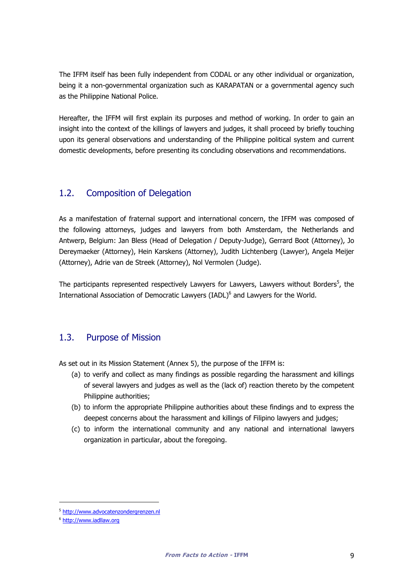The IFFM itself has been fully independent from CODAL or any other individual or organization, being it a non-governmental organization such as KARAPATAN or a governmental agency such as the Philippine National Police.

Hereafter, the IFFM will first explain its purposes and method of working. In order to gain an insight into the context of the killings of lawyers and judges, it shall proceed by briefly touching upon its general observations and understanding of the Philippine political system and current domestic developments, before presenting its concluding observations and recommendations.

### 1.2. Composition of Delegation

As a manifestation of fraternal support and international concern, the IFFM was composed of the following attorneys, judges and lawyers from both Amsterdam, the Netherlands and Antwerp, Belgium: Jan Bless (Head of Delegation / Deputy-Judge), Gerrard Boot (Attorney), Jo Dereymaeker (Attorney), Hein Karskens (Attorney), Judith Lichtenberg (Lawyer), Angela Meijer (Attorney), Adrie van de Streek (Attorney), Nol Vermolen (Judge).

The participants represented respectively Lawyers for Lawyers, Lawyers without Borders<sup>5</sup>, the International Association of Democratic Lawyers (IADL)<sup>6</sup> and Lawyers for the World.

# 1.3. Purpose of Mission

As set out in its Mission Statement (Annex 5), the purpose of the IFFM is:

- (a) to verify and collect as many findings as possible regarding the harassment and killings of several lawyers and judges as well as the (lack of) reaction thereto by the competent Philippine authorities;
- (b) to inform the appropriate Philippine authorities about these findings and to express the deepest concerns about the harassment and killings of Filipino lawyers and judges;
- (c) to inform the international community and any national and international lawyers organization in particular, about the foregoing.

i,

<sup>&</sup>lt;sup>5</sup> http://www.advocatenzondergrenzen.nl

<sup>&</sup>lt;sup>6</sup> http://www.iadllaw.org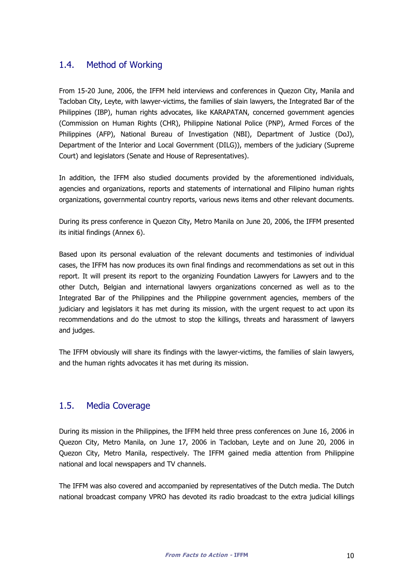## 1.4. Method of Working

From 15-20 June, 2006, the IFFM held interviews and conferences in Quezon City, Manila and Tacloban City, Leyte, with lawyer-victims, the families of slain lawyers, the Integrated Bar of the Philippines (IBP), human rights advocates, like KARAPATAN, concerned government agencies (Commission on Human Rights (CHR), Philippine National Police (PNP), Armed Forces of the Philippines (AFP), National Bureau of Investigation (NBI), Department of Justice (DoJ), Department of the Interior and Local Government (DILG)), members of the judiciary (Supreme Court) and legislators (Senate and House of Representatives).

In addition, the IFFM also studied documents provided by the aforementioned individuals, agencies and organizations, reports and statements of international and Filipino human rights organizations, governmental country reports, various news items and other relevant documents.

During its press conference in Quezon City, Metro Manila on June 20, 2006, the IFFM presented its initial findings (Annex 6).

Based upon its personal evaluation of the relevant documents and testimonies of individual cases, the IFFM has now produces its own final findings and recommendations as set out in this report. It will present its report to the organizing Foundation Lawyers for Lawyers and to the other Dutch, Belgian and international lawyers organizations concerned as well as to the Integrated Bar of the Philippines and the Philippine government agencies, members of the judiciary and legislators it has met during its mission, with the urgent request to act upon its recommendations and do the utmost to stop the killings, threats and harassment of lawyers and judges.

The IFFM obviously will share its findings with the lawyer-victims, the families of slain lawyers, and the human rights advocates it has met during its mission.

### 1.5. Media Coverage

During its mission in the Philippines, the IFFM held three press conferences on June 16, 2006 in Quezon City, Metro Manila, on June 17, 2006 in Tacloban, Leyte and on June 20, 2006 in Quezon City, Metro Manila, respectively. The IFFM gained media attention from Philippine national and local newspapers and TV channels.

The IFFM was also covered and accompanied by representatives of the Dutch media. The Dutch national broadcast company VPRO has devoted its radio broadcast to the extra judicial killings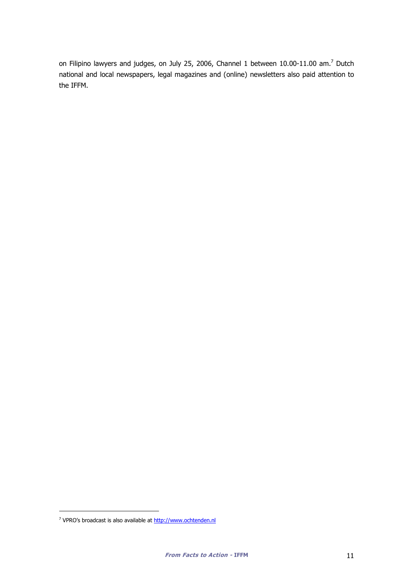on Filipino lawyers and judges, on July 25, 2006, Channel 1 between 10.00-11.00 am.<sup>7</sup> Dutch national and local newspapers, legal magazines and (online) newsletters also paid attention to the IFFM.

l

<sup>&</sup>lt;sup>7</sup> VPRO's broadcast is also available at http://www.ochtenden.nl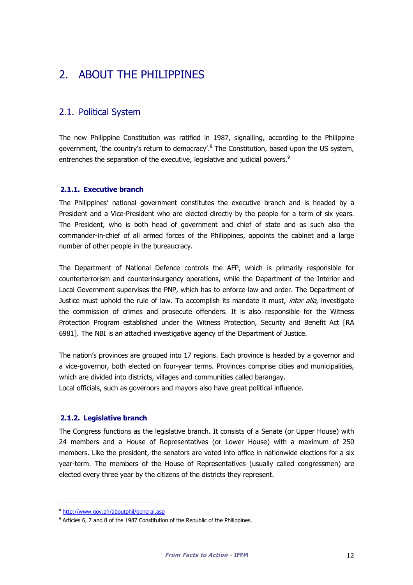# 2. ABOUT THE PHILIPPINES

## 2.1. Political System

The new Philippine Constitution was ratified in 1987, signalling, according to the Philippine government, 'the country's return to democracy'.<sup>8</sup> The Constitution, based upon the US system, entrenches the separation of the executive, legislative and judicial powers.<sup>9</sup>

#### 2.1.1. Executive branch

The Philippines' national government constitutes the executive branch and is headed by a President and a Vice-President who are elected directly by the people for a term of six years. The President, who is both head of government and chief of state and as such also the commander-in-chief of all armed forces of the Philippines, appoints the cabinet and a large number of other people in the bureaucracy.

The Department of National Defence controls the AFP, which is primarily responsible for counterterrorism and counterinsurgency operations, while the Department of the Interior and Local Government supervises the PNP, which has to enforce law and order. The Department of Justice must uphold the rule of law. To accomplish its mandate it must, *inter alia*, investigate the commission of crimes and prosecute offenders. It is also responsible for the Witness Protection Program established under the Witness Protection, Security and Benefit Act [RA 6981]. The NBI is an attached investigative agency of the Department of Justice.

The nation's provinces are grouped into 17 regions. Each province is headed by a governor and a vice-governor, both elected on four-year terms. Provinces comprise cities and municipalities, which are divided into districts, villages and communities called barangay.

Local officials, such as governors and mayors also have great political influence.

#### 2.1.2. Legislative branch

The Congress functions as the legislative branch. It consists of a Senate (or Upper House) with 24 members and a House of Representatives (or Lower House) with a maximum of 250 members. Like the president, the senators are voted into office in nationwide elections for a six year-term. The members of the House of Representatives (usually called congressmen) are elected every three year by the citizens of the districts they represent.

i,

<sup>8</sup> http://www.gov.ph/aboutphil/general.asp

<sup>&</sup>lt;sup>9</sup> Articles 6, 7 and 8 of the 1987 Constitution of the Republic of the Philippines.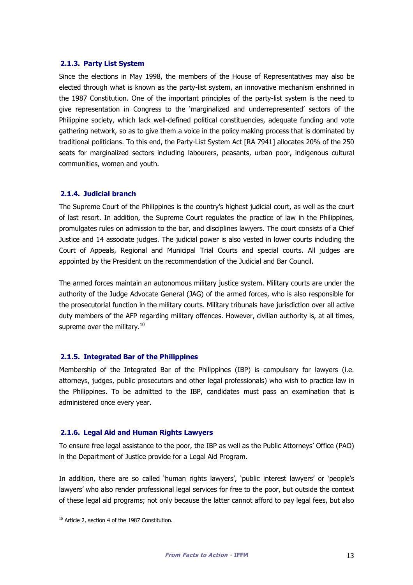#### 2.1.3. Party List System

Since the elections in May 1998, the members of the House of Representatives may also be elected through what is known as the party-list system, an innovative mechanism enshrined in the 1987 Constitution. One of the important principles of the party-list system is the need to give representation in Congress to the 'marginalized and underrepresented' sectors of the Philippine society, which lack well-defined political constituencies, adequate funding and vote gathering network, so as to give them a voice in the policy making process that is dominated by traditional politicians. To this end, the Party-List System Act [RA 7941] allocates 20% of the 250 seats for marginalized sectors including labourers, peasants, urban poor, indigenous cultural communities, women and youth.

#### 2.1.4. Judicial branch

The Supreme Court of the Philippines is the country's highest judicial court, as well as the court of last resort. In addition, the Supreme Court regulates the practice of law in the Philippines, promulgates rules on admission to the bar, and disciplines lawyers. The court consists of a Chief Justice and 14 associate judges. The judicial power is also vested in lower courts including the Court of Appeals, Regional and Municipal Trial Courts and special courts. All judges are appointed by the President on the recommendation of the Judicial and Bar Council.

The armed forces maintain an autonomous military justice system. Military courts are under the authority of the Judge Advocate General (JAG) of the armed forces, who is also responsible for the prosecutorial function in the military courts. Military tribunals have jurisdiction over all active duty members of the AFP regarding military offences. However, civilian authority is, at all times, supreme over the military. $10$ 

#### 2.1.5. Integrated Bar of the Philippines

Membership of the Integrated Bar of the Philippines (IBP) is compulsory for lawyers (i.e. attorneys, judges, public prosecutors and other legal professionals) who wish to practice law in the Philippines. To be admitted to the IBP, candidates must pass an examination that is administered once every year.

#### 2.1.6. Legal Aid and Human Rights Lawyers

To ensure free legal assistance to the poor, the IBP as well as the Public Attorneys' Office (PAO) in the Department of Justice provide for a Legal Aid Program.

In addition, there are so called 'human rights lawyers', 'public interest lawyers' or 'people's lawyers' who also render professional legal services for free to the poor, but outside the context of these legal aid programs; not only because the latter cannot afford to pay legal fees, but also

l

<sup>&</sup>lt;sup>10</sup> Article 2, section 4 of the 1987 Constitution.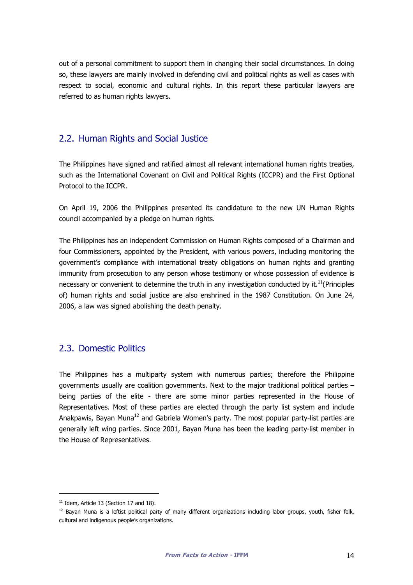out of a personal commitment to support them in changing their social circumstances. In doing so, these lawyers are mainly involved in defending civil and political rights as well as cases with respect to social, economic and cultural rights. In this report these particular lawyers are referred to as human rights lawyers.

### 2.2. Human Rights and Social Justice

The Philippines have signed and ratified almost all relevant international human rights treaties, such as the International Covenant on Civil and Political Rights (ICCPR) and the First Optional Protocol to the ICCPR.

On April 19, 2006 the Philippines presented its candidature to the new UN Human Rights council accompanied by a pledge on human rights.

The Philippines has an independent Commission on Human Rights composed of a Chairman and four Commissioners, appointed by the President, with various powers, including monitoring the government's compliance with international treaty obligations on human rights and granting immunity from prosecution to any person whose testimony or whose possession of evidence is necessary or convenient to determine the truth in any investigation conducted by it.<sup>11</sup>(Principles of) human rights and social justice are also enshrined in the 1987 Constitution. On June 24, 2006, a law was signed abolishing the death penalty.

### 2.3. Domestic Politics

The Philippines has a multiparty system with numerous parties; therefore the Philippine governments usually are coalition governments. Next to the major traditional political parties  $$ being parties of the elite - there are some minor parties represented in the House of Representatives. Most of these parties are elected through the party list system and include Anakpawis, Bayan Muna<sup>12</sup> and Gabriela Women's party. The most popular party-list parties are generally left wing parties. Since 2001, Bayan Muna has been the leading party-list member in the House of Representatives.

l

<sup>&</sup>lt;sup>11</sup> Idem, Article 13 (Section 17 and 18).

 $12$  Bayan Muna is a leftist political party of many different organizations including labor groups, youth, fisher folk, cultural and indigenous people's organizations.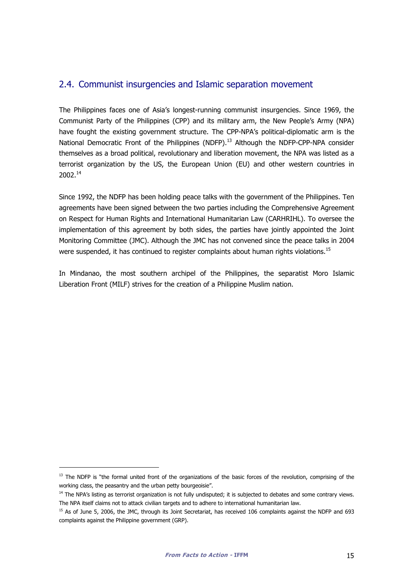### 2.4. Communist insurgencies and Islamic separation movement

The Philippines faces one of Asia's longest-running communist insurgencies. Since 1969, the Communist Party of the Philippines (CPP) and its military arm, the New People's Army (NPA) have fought the existing government structure. The CPP-NPA's political-diplomatic arm is the National Democratic Front of the Philippines (NDFP).<sup>13</sup> Although the NDFP-CPP-NPA consider themselves as a broad political, revolutionary and liberation movement, the NPA was listed as a terrorist organization by the US, the European Union (EU) and other western countries in 2002.<sup>14</sup>

Since 1992, the NDFP has been holding peace talks with the government of the Philippines. Ten agreements have been signed between the two parties including the Comprehensive Agreement on Respect for Human Rights and International Humanitarian Law (CARHRIHL). To oversee the implementation of this agreement by both sides, the parties have jointly appointed the Joint Monitoring Committee (JMC). Although the JMC has not convened since the peace talks in 2004 were suspended, it has continued to register complaints about human rights violations.<sup>15</sup>

In Mindanao, the most southern archipel of the Philippines, the separatist Moro Islamic Liberation Front (MILF) strives for the creation of a Philippine Muslim nation.

-

<sup>&</sup>lt;sup>13</sup> The NDFP is "the formal united front of the organizations of the basic forces of the revolution, comprising of the working class, the peasantry and the urban petty bourgeoisie".

<sup>&</sup>lt;sup>14</sup> The NPA's listing as terrorist organization is not fully undisputed; it is subjected to debates and some contrary views. The NPA itself claims not to attack civilian targets and to adhere to international humanitarian law.

<sup>&</sup>lt;sup>15</sup> As of June 5, 2006, the JMC, through its Joint Secretariat, has received 106 complaints against the NDFP and 693 complaints against the Philippine government (GRP).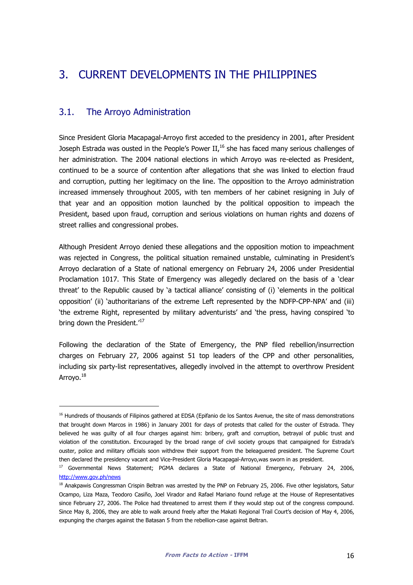# 3. CURRENT DEVELOPMENTS IN THE PHILIPPINES

### 3.1. The Arroyo Administration

l

Since President Gloria Macapagal-Arroyo first acceded to the presidency in 2001, after President Joseph Estrada was ousted in the People's Power II, $^{16}$  she has faced many serious challenges of her administration. The 2004 national elections in which Arroyo was re-elected as President, continued to be a source of contention after allegations that she was linked to election fraud and corruption, putting her legitimacy on the line. The opposition to the Arroyo administration increased immensely throughout 2005, with ten members of her cabinet resigning in July of that year and an opposition motion launched by the political opposition to impeach the President, based upon fraud, corruption and serious violations on human rights and dozens of street rallies and congressional probes.

Although President Arroyo denied these allegations and the opposition motion to impeachment was rejected in Congress, the political situation remained unstable, culminating in President's Arroyo declaration of a State of national emergency on February 24, 2006 under Presidential Proclamation 1017. This State of Emergency was allegedly declared on the basis of a 'clear threat' to the Republic caused by 'a tactical alliance' consisting of (i) 'elements in the political opposition' (ii) 'authoritarians of the extreme Left represented by the NDFP-CPP-NPA' and (iii) 'the extreme Right, represented by military adventurists' and 'the press, having conspired 'to bring down the President.<sup>'17</sup>

Following the declaration of the State of Emergency, the PNP filed rebellion/insurrection charges on February 27, 2006 against 51 top leaders of the CPP and other personalities, including six party-list representatives, allegedly involved in the attempt to overthrow President Arroyo.<sup>18</sup>

<sup>&</sup>lt;sup>16</sup> Hundreds of thousands of Filipinos gathered at EDSA (Epifanio de los Santos Avenue, the site of mass demonstrations that brought down Marcos in 1986) in January 2001 for days of protests that called for the ouster of Estrada. They believed he was guilty of all four charges against him: bribery, graft and corruption, betrayal of public trust and violation of the constitution. Encouraged by the broad range of civil society groups that campaigned for Estrada's ouster, police and military officials soon withdrew their support from the beleaguered president. The Supreme Court then declared the presidency vacant and Vice-President Gloria Macapagal-Arroyo,was sworn in as president.

<sup>&</sup>lt;sup>17</sup> Governmental News Statement; PGMA declares a State of National Emergency, February 24, 2006, http://www.gov.ph/news

<sup>&</sup>lt;sup>18</sup> Anakpawis Congressman Crispin Beltran was arrested by the PNP on February 25, 2006. Five other legislators, Satur Ocampo, Liza Maza, Teodoro Casiño, Joel Virador and Rafael Mariano found refuge at the House of Representatives since February 27, 2006. The Police had threatened to arrest them if they would step out of the congress compound. Since May 8, 2006, they are able to walk around freely after the Makati Regional Trail Court's decision of May 4, 2006, expunging the charges against the Batasan 5 from the rebellion-case against Beltran.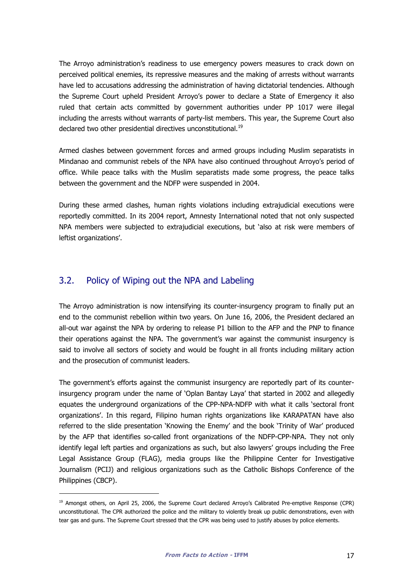The Arroyo administration's readiness to use emergency powers measures to crack down on perceived political enemies, its repressive measures and the making of arrests without warrants have led to accusations addressing the administration of having dictatorial tendencies. Although the Supreme Court upheld President Arroyo's power to declare a State of Emergency it also ruled that certain acts committed by government authorities under PP 1017 were illegal including the arrests without warrants of party-list members. This year, the Supreme Court also declared two other presidential directives unconstitutional.<sup>19</sup>

Armed clashes between government forces and armed groups including Muslim separatists in Mindanao and communist rebels of the NPA have also continued throughout Arroyo's period of office. While peace talks with the Muslim separatists made some progress, the peace talks between the government and the NDFP were suspended in 2004.

During these armed clashes, human rights violations including extrajudicial executions were reportedly committed. In its 2004 report, Amnesty International noted that not only suspected NPA members were subjected to extrajudicial executions, but 'also at risk were members of leftist organizations'.

### 3.2. Policy of Wiping out the NPA and Labeling

l

The Arroyo administration is now intensifying its counter-insurgency program to finally put an end to the communist rebellion within two years. On June 16, 2006, the President declared an all-out war against the NPA by ordering to release P1 billion to the AFP and the PNP to finance their operations against the NPA. The government's war against the communist insurgency is said to involve all sectors of society and would be fought in all fronts including military action and the prosecution of communist leaders.

The government's efforts against the communist insurgency are reportedly part of its counterinsurgency program under the name of 'Oplan Bantay Laya' that started in 2002 and allegedly equates the underground organizations of the CPP-NPA-NDFP with what it calls 'sectoral front organizations'. In this regard, Filipino human rights organizations like KARAPATAN have also referred to the slide presentation 'Knowing the Enemy' and the book 'Trinity of War' produced by the AFP that identifies so-called front organizations of the NDFP-CPP-NPA. They not only identify legal left parties and organizations as such, but also lawyers' groups including the Free Legal Assistance Group (FLAG), media groups like the Philippine Center for Investigative Journalism (PCIJ) and religious organizations such as the Catholic Bishops Conference of the Philippines (CBCP).

<sup>&</sup>lt;sup>19</sup> Amongst others, on April 25, 2006, the Supreme Court declared Arroyo's Calibrated Pre-emptive Response (CPR) unconstitutional. The CPR authorized the police and the military to violently break up public demonstrations, even with tear gas and guns. The Supreme Court stressed that the CPR was being used to justify abuses by police elements.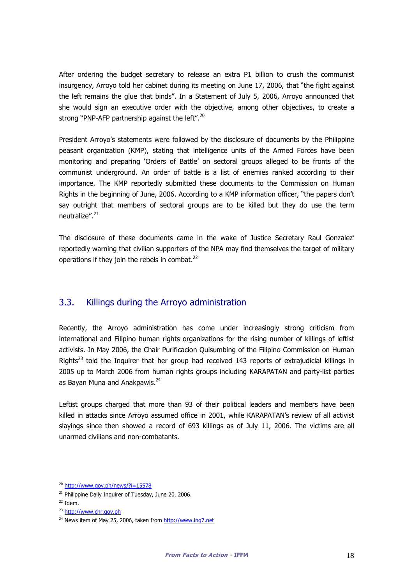After ordering the budget secretary to release an extra P1 billion to crush the communist insurgency, Arroyo told her cabinet during its meeting on June 17, 2006, that "the fight against the left remains the glue that binds". In a Statement of July 5, 2006, Arroyo announced that she would sign an executive order with the objective, among other objectives, to create a strong "PNP-AFP partnership against the left".<sup>20</sup>

President Arroyo's statements were followed by the disclosure of documents by the Philippine peasant organization (KMP), stating that intelligence units of the Armed Forces have been monitoring and preparing 'Orders of Battle' on sectoral groups alleged to be fronts of the communist underground. An order of battle is a list of enemies ranked according to their importance. The KMP reportedly submitted these documents to the Commission on Human Rights in the beginning of June, 2006. According to a KMP information officer, "the papers don't say outright that members of sectoral groups are to be killed but they do use the term neutralize".<sup>21</sup>

The disclosure of these documents came in the wake of Justice Secretary Raul Gonzalez' reportedly warning that civilian supporters of the NPA may find themselves the target of military operations if they join the rebels in combat. $^{22}$ 

### 3.3. Killings during the Arroyo administration

Recently, the Arroyo administration has come under increasingly strong criticism from international and Filipino human rights organizations for the rising number of killings of leftist activists. In May 2006, the Chair Purificacion Quisumbing of the Filipino Commission on Human Rights<sup>23</sup> told the Inquirer that her group had received 143 reports of extrajudicial killings in 2005 up to March 2006 from human rights groups including KARAPATAN and party-list parties as Bayan Muna and Anakpawis.<sup>24</sup>

Leftist groups charged that more than 93 of their political leaders and members have been killed in attacks since Arroyo assumed office in 2001, while KARAPATAN's review of all activist slayings since then showed a record of 693 killings as of July 11, 2006. The victims are all unarmed civilians and non-combatants.

l

<sup>20</sup> http://www.gov.ph/news/?i=15578

 $21$  Philippine Daily Inquirer of Tuesday, June 20, 2006.

 $22$  Idem.

<sup>&</sup>lt;sup>23</sup> http://www.chr.gov.ph

<sup>&</sup>lt;sup>24</sup> News item of May 25, 2006, taken from http://www.inq7.net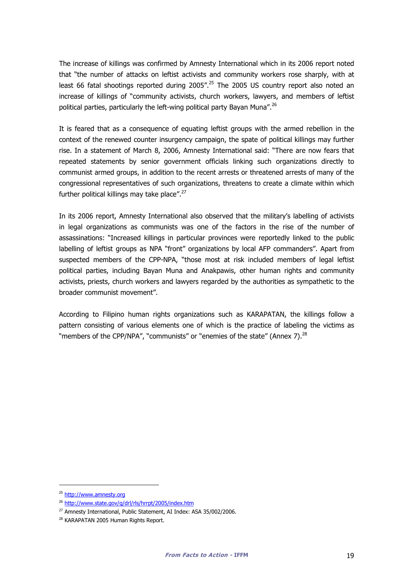The increase of killings was confirmed by Amnesty International which in its 2006 report noted that "the number of attacks on leftist activists and community workers rose sharply, with at least 66 fatal shootings reported during  $2005''$ .<sup>25</sup> The 2005 US country report also noted an increase of killings of "community activists, church workers, lawyers, and members of leftist political parties, particularly the left-wing political party Bayan Muna".<sup>26</sup>

It is feared that as a consequence of equating leftist groups with the armed rebellion in the context of the renewed counter insurgency campaign, the spate of political killings may further rise. In a statement of March 8, 2006, Amnesty International said: "There are now fears that repeated statements by senior government officials linking such organizations directly to communist armed groups, in addition to the recent arrests or threatened arrests of many of the congressional representatives of such organizations, threatens to create a climate within which further political killings may take place". $27$ 

In its 2006 report, Amnesty International also observed that the military's labelling of activists in legal organizations as communists was one of the factors in the rise of the number of assassinations: "Increased killings in particular provinces were reportedly linked to the public labelling of leftist groups as NPA "front" organizations by local AFP commanders". Apart from suspected members of the CPP-NPA, "those most at risk included members of legal leftist political parties, including Bayan Muna and Anakpawis, other human rights and community activists, priests, church workers and lawyers regarded by the authorities as sympathetic to the broader communist movement".

According to Filipino human rights organizations such as KARAPATAN, the killings follow a pattern consisting of various elements one of which is the practice of labeling the victims as "members of the CPP/NPA", "communists" or "enemies of the state" (Annex 7).<sup>28</sup>

-

<sup>25</sup> http://www.amnesty.org

<sup>26</sup> http://www.state.gov/g/drl/rls/hrrpt/2005/index.htm

<sup>&</sup>lt;sup>27</sup> Amnesty International, Public Statement, AI Index: ASA 35/002/2006.

<sup>28</sup> KARAPATAN 2005 Human Rights Report.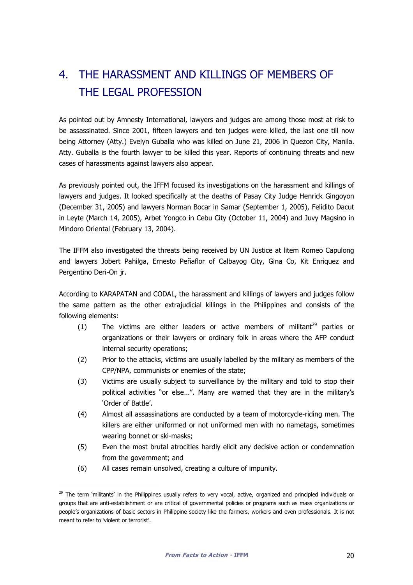# 4. THE HARASSMENT AND KILLINGS OF MEMBERS OF THE LEGAL PROFESSION

As pointed out by Amnesty International, lawyers and judges are among those most at risk to be assassinated. Since 2001, fifteen lawyers and ten judges were killed, the last one till now being Attorney (Atty.) Evelyn Guballa who was killed on June 21, 2006 in Quezon City, Manila. Atty. Guballa is the fourth lawyer to be killed this year. Reports of continuing threats and new cases of harassments against lawyers also appear.

As previously pointed out, the IFFM focused its investigations on the harassment and killings of lawyers and judges. It looked specifically at the deaths of Pasay City Judge Henrick Gingoyon (December 31, 2005) and lawyers Norman Bocar in Samar (September 1, 2005), Felidito Dacut in Leyte (March 14, 2005), Arbet Yongco in Cebu City (October 11, 2004) and Juvy Magsino in Mindoro Oriental (February 13, 2004).

The IFFM also investigated the threats being received by UN Justice at litem Romeo Capulong and lawyers Jobert Pahilga, Ernesto Peñaflor of Calbayog City, Gina Co, Kit Enriquez and Pergentino Deri-On jr.

According to KARAPATAN and CODAL, the harassment and killings of lawyers and judges follow the same pattern as the other extrajudicial killings in the Philippines and consists of the following elements:

- (1) The victims are either leaders or active members of militant<sup>29</sup> parties or organizations or their lawyers or ordinary folk in areas where the AFP conduct internal security operations;
- (2) Prior to the attacks, victims are usually labelled by the military as members of the CPP/NPA, communists or enemies of the state;
- (3) Victims are usually subject to surveillance by the military and told to stop their political activities "or else…". Many are warned that they are in the military's 'Order of Battle'.
- (4) Almost all assassinations are conducted by a team of motorcycle-riding men. The killers are either uniformed or not uniformed men with no nametags, sometimes wearing bonnet or ski-masks;
- (5) Even the most brutal atrocities hardly elicit any decisive action or condemnation from the government; and
- (6) All cases remain unsolved, creating a culture of impunity.

-

<sup>&</sup>lt;sup>29</sup> The term 'militants' in the Philippines usually refers to very vocal, active, organized and principled individuals or groups that are anti-establishment or are critical of governmental policies or programs such as mass organizations or people's organizations of basic sectors in Philippine society like the farmers, workers and even professionals. It is not meant to refer to 'violent or terrorist'.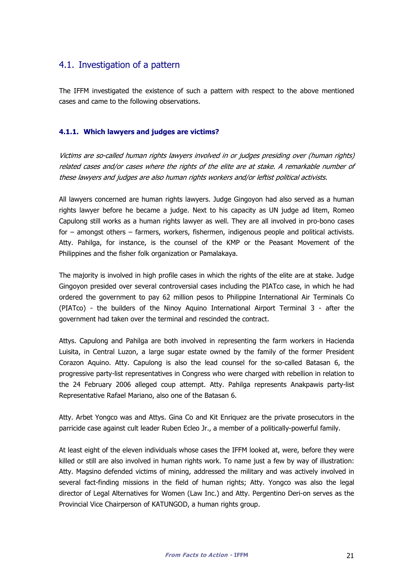## 4.1. Investigation of a pattern

The IFFM investigated the existence of such a pattern with respect to the above mentioned cases and came to the following observations.

#### 4.1.1. Which lawyers and judges are victims?

Victims are so-called human rights lawyers involved in or judges presiding over (human rights) related cases and/or cases where the rights of the elite are at stake. A remarkable number of these lawyers and judges are also human rights workers and/or leftist political activists.

All lawyers concerned are human rights lawyers. Judge Gingoyon had also served as a human rights lawyer before he became a judge. Next to his capacity as UN judge ad litem, Romeo Capulong still works as a human rights lawyer as well. They are all involved in pro-bono cases for – amongst others – farmers, workers, fishermen, indigenous people and political activists. Atty. Pahilga, for instance, is the counsel of the KMP or the Peasant Movement of the Philippines and the fisher folk organization or Pamalakaya.

The majority is involved in high profile cases in which the rights of the elite are at stake. Judge Gingoyon presided over several controversial cases including the PIATco case, in which he had ordered the government to pay 62 million pesos to Philippine International Air Terminals Co (PIATco) - the builders of the Ninoy Aquino International Airport Terminal 3 - after the government had taken over the terminal and rescinded the contract.

Attys. Capulong and Pahilga are both involved in representing the farm workers in Hacienda Luisita, in Central Luzon, a large sugar estate owned by the family of the former President Corazon Aquino. Atty. Capulong is also the lead counsel for the so-called Batasan 6, the progressive party-list representatives in Congress who were charged with rebellion in relation to the 24 February 2006 alleged coup attempt. Atty. Pahilga represents Anakpawis party-list Representative Rafael Mariano, also one of the Batasan 6.

Atty. Arbet Yongco was and Attys. Gina Co and Kit Enriquez are the private prosecutors in the parricide case against cult leader Ruben Ecleo Jr., a member of a politically-powerful family.

At least eight of the eleven individuals whose cases the IFFM looked at, were, before they were killed or still are also involved in human rights work. To name just a few by way of illustration: Atty. Magsino defended victims of mining, addressed the military and was actively involved in several fact-finding missions in the field of human rights; Atty. Yongco was also the legal director of Legal Alternatives for Women (Law Inc.) and Atty. Pergentino Deri-on serves as the Provincial Vice Chairperson of KATUNGOD, a human rights group.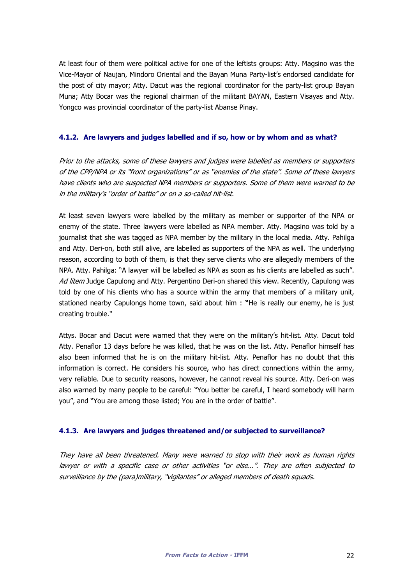At least four of them were political active for one of the leftists groups: Atty. Magsino was the Vice-Mayor of Naujan, Mindoro Oriental and the Bayan Muna Party-list's endorsed candidate for the post of city mayor; Atty. Dacut was the regional coordinator for the party-list group Bayan Muna; Atty Bocar was the regional chairman of the militant BAYAN, Eastern Visayas and Atty. Yongco was provincial coordinator of the party-list Abanse Pinay.

#### 4.1.2. Are lawyers and judges labelled and if so, how or by whom and as what?

Prior to the attacks, some of these lawyers and judges were labelled as members or supporters of the CPP/NPA or its "front organizations" or as "enemies of the state". Some of these lawyers have clients who are suspected NPA members or supporters. Some of them were warned to be in the military's "order of battle" or on a so-called hit-list.

At least seven lawyers were labelled by the military as member or supporter of the NPA or enemy of the state. Three lawyers were labelled as NPA member. Atty. Magsino was told by a journalist that she was tagged as NPA member by the military in the local media. Atty. Pahilga and Atty. Deri-on, both still alive, are labelled as supporters of the NPA as well. The underlying reason, according to both of them, is that they serve clients who are allegedly members of the NPA. Atty. Pahilga: "A lawyer will be labelled as NPA as soon as his clients are labelled as such". Ad litem Judge Capulong and Atty. Pergentino Deri-on shared this view. Recently, Capulong was told by one of his clients who has a source within the army that members of a military unit, stationed nearby Capulongs home town, said about him : "He is really our enemy, he is just creating trouble."

Attys. Bocar and Dacut were warned that they were on the military's hit-list. Atty. Dacut told Atty. Penaflor 13 days before he was killed, that he was on the list. Atty. Penaflor himself has also been informed that he is on the military hit-list. Atty. Penaflor has no doubt that this information is correct. He considers his source, who has direct connections within the army, very reliable. Due to security reasons, however, he cannot reveal his source. Atty. Deri-on was also warned by many people to be careful: "You better be careful, I heard somebody will harm you", and "You are among those listed; You are in the order of battle".

#### 4.1.3. Are lawyers and judges threatened and/or subjected to surveillance?

They have all been threatened. Many were warned to stop with their work as human rights lawyer or with a specific case or other activities "or else…". They are often subjected to surveillance by the (para)military, "vigilantes" or alleged members of death squads.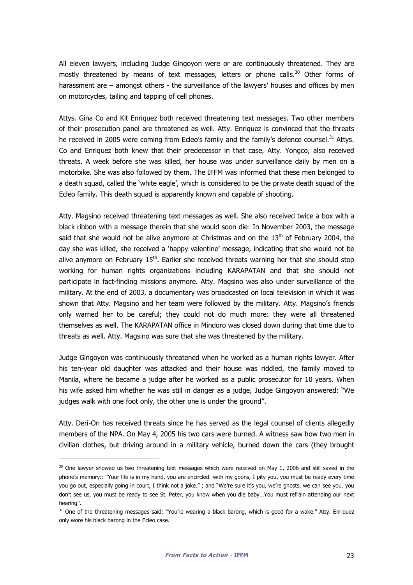All eleven lawyers, including Judge Gingoyon were or are continuously threatened. They are mostly threatened by means of text messages, letters or phone calls. $30$  Other forms of harassment are – amongst others - the surveillance of the lawyers' houses and offices by men on motorcycles, tailing and tapping of cell phones.

Attys. Gina Co and Kit Enriquez both received threatening text messages. Two other members of their prosecution panel are threatened as well. Atty. Enriquez is convinced that the threats he received in 2005 were coming from Ecleo's family and the family's defence counsel.<sup>31</sup> Attys. Co and Enriquez both knew that their predecessor in that case, Atty. Yongco, also received threats. A week before she was killed, her house was under surveillance daily by men on a motorbike. She was also followed by them. The IFFM was informed that these men belonged to a death squad, called the 'white eagle', which is considered to be the private death squad of the Ecleo family. This death squad is apparently known and capable of shooting.

Atty. Magsino received threatening text messages as well. She also received twice a box with a black ribbon with a message therein that she would soon die: In November 2003, the message said that she would not be alive anymore at Christmas and on the  $13<sup>th</sup>$  of February 2004, the day she was killed, she received a 'happy valentine' message, indicating that she would not be alive anymore on February 15<sup>th</sup>. Earlier she received threats warning her that she should stop working for human rights organizations including KARAPATAN and that she should not participate in fact-finding missions anymore. Atty. Magsino was also under surveillance of the military. At the end of 2003, a documentary was broadcasted on local television in which it was shown that Atty. Magsino and her team were followed by the military. Atty. Magsino's friends only warned her to be careful; they could not do much more: they were all threatened themselves as well. The KARAPATAN office in Mindoro was closed down during that time due to threats as well. Atty. Magsino was sure that she was threatened by the military.

Judge Gingoyon was continuously threatened when he worked as a human rights lawyer. After his ten-year old daughter was attacked and their house was riddled, the family moved to Manila, where he became a judge after he worked as a public prosecutor for 10 years. When his wife asked him whether he was still in danger as a judge, Judge Gingoyon answered: "We judges walk with one foot only, the other one is under the ground".

Atty. Deri-On has received threats since he has served as the legal counsel of clients allegedly members of the NPA. On May 4, 2005 his two cars were burned. A witness saw how two men in civilian clothes, but driving around in a military vehicle, burned down the cars (they brought

l

 $30$  One lawyer showed us two threatening text messages which were received on May 1, 2006 and still saved in the phone's memory:: "Your life is in my hand, you are encircled with my goons, I pity you, you must be ready every time you go out, especially going in court, I think not a joke." ; and "We're sure it's you, we're ghosts, we can see you, you don't see us, you must be ready to see St. Peter, you know when you die baby…You must refrain attending our next hearing".

<sup>&</sup>lt;sup>31</sup> One of the threatening messages said: "You're wearing a black barong, which is good for a wake." Atty. Enriquez only wore his black barong in the Ecleo case.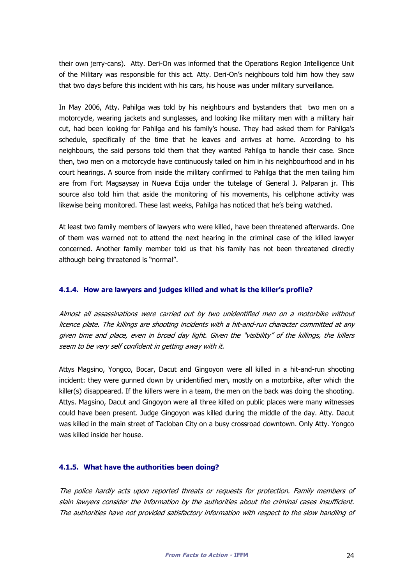their own jerry-cans). Atty. Deri-On was informed that the Operations Region Intelligence Unit of the Military was responsible for this act. Atty. Deri-On's neighbours told him how they saw that two days before this incident with his cars, his house was under military surveillance.

In May 2006, Atty. Pahilga was told by his neighbours and bystanders that two men on a motorcycle, wearing jackets and sunglasses, and looking like military men with a military hair cut, had been looking for Pahilga and his family's house. They had asked them for Pahilga's schedule, specifically of the time that he leaves and arrives at home. According to his neighbours, the said persons told them that they wanted Pahilga to handle their case. Since then, two men on a motorcycle have continuously tailed on him in his neighbourhood and in his court hearings. A source from inside the military confirmed to Pahilga that the men tailing him are from Fort Magsaysay in Nueva Ecija under the tutelage of General J. Palparan jr. This source also told him that aside the monitoring of his movements, his cellphone activity was likewise being monitored. These last weeks, Pahilga has noticed that he's being watched.

At least two family members of lawyers who were killed, have been threatened afterwards. One of them was warned not to attend the next hearing in the criminal case of the killed lawyer concerned. Another family member told us that his family has not been threatened directly although being threatened is "normal".

#### 4.1.4. How are lawyers and judges killed and what is the killer's profile?

Almost all assassinations were carried out by two unidentified men on a motorbike without licence plate. The killings are shooting incidents with a hit-and-run character committed at any given time and place, even in broad day light. Given the "visibility" of the killings, the killers seem to be very self confident in getting away with it.

Attys Magsino, Yongco, Bocar, Dacut and Gingoyon were all killed in a hit-and-run shooting incident: they were gunned down by unidentified men, mostly on a motorbike, after which the killer(s) disappeared. If the killers were in a team, the men on the back was doing the shooting. Attys. Magsino, Dacut and Gingoyon were all three killed on public places were many witnesses could have been present. Judge Gingoyon was killed during the middle of the day. Atty. Dacut was killed in the main street of Tacloban City on a busy crossroad downtown. Only Atty. Yongco was killed inside her house.

#### 4.1.5. What have the authorities been doing?

The police hardly acts upon reported threats or requests for protection. Family members of slain lawyers consider the information by the authorities about the criminal cases insufficient. The authorities have not provided satisfactory information with respect to the slow handling of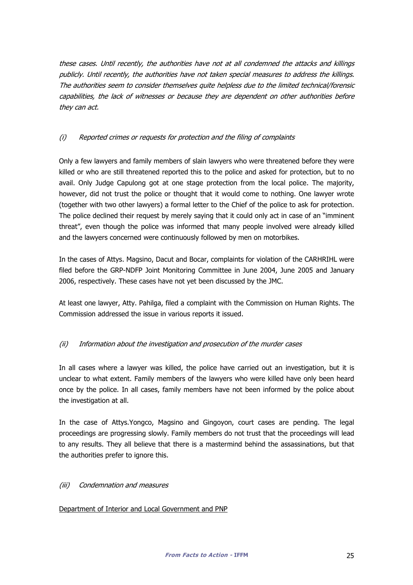these cases. Until recently, the authorities have not at all condemned the attacks and killings publicly. Until recently, the authorities have not taken special measures to address the killings. The authorities seem to consider themselves quite helpless due to the limited technical/forensic capabilities, the lack of witnesses or because they are dependent on other authorities before they can act.

#### (i) Reported crimes or requests for protection and the filing of complaints

Only a few lawyers and family members of slain lawyers who were threatened before they were killed or who are still threatened reported this to the police and asked for protection, but to no avail. Only Judge Capulong got at one stage protection from the local police. The majority, however, did not trust the police or thought that it would come to nothing. One lawyer wrote (together with two other lawyers) a formal letter to the Chief of the police to ask for protection. The police declined their request by merely saying that it could only act in case of an "imminent threat", even though the police was informed that many people involved were already killed and the lawyers concerned were continuously followed by men on motorbikes.

In the cases of Attys. Magsino, Dacut and Bocar, complaints for violation of the CARHRIHL were filed before the GRP-NDFP Joint Monitoring Committee in June 2004, June 2005 and January 2006, respectively. These cases have not yet been discussed by the JMC.

At least one lawyer, Atty. Pahilga, filed a complaint with the Commission on Human Rights. The Commission addressed the issue in various reports it issued.

#### (ii) Information about the investigation and prosecution of the murder cases

In all cases where a lawyer was killed, the police have carried out an investigation, but it is unclear to what extent. Family members of the lawyers who were killed have only been heard once by the police. In all cases, family members have not been informed by the police about the investigation at all.

In the case of Attys.Yongco, Magsino and Gingoyon, court cases are pending. The legal proceedings are progressing slowly. Family members do not trust that the proceedings will lead to any results. They all believe that there is a mastermind behind the assassinations, but that the authorities prefer to ignore this.

#### (iii) Condemnation and measures

#### Department of Interior and Local Government and PNP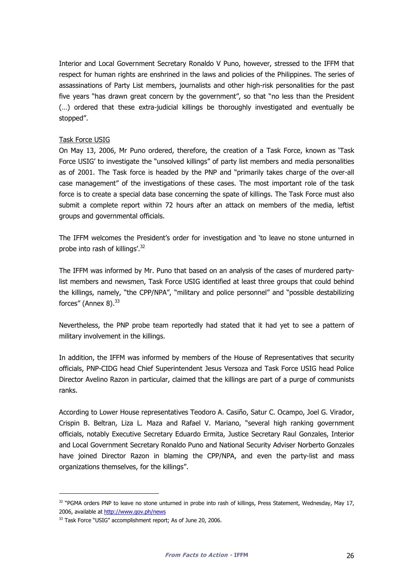Interior and Local Government Secretary Ronaldo V Puno, however, stressed to the IFFM that respect for human rights are enshrined in the laws and policies of the Philippines. The series of assassinations of Party List members, journalists and other high-risk personalities for the past five years "has drawn great concern by the government", so that "no less than the President (…) ordered that these extra-judicial killings be thoroughly investigated and eventually be stopped".

#### Task Force USIG

On May 13, 2006, Mr Puno ordered, therefore, the creation of a Task Force, known as 'Task Force USIG' to investigate the "unsolved killings" of party list members and media personalities as of 2001. The Task force is headed by the PNP and "primarily takes charge of the over-all case management" of the investigations of these cases. The most important role of the task force is to create a special data base concerning the spate of killings. The Task Force must also submit a complete report within 72 hours after an attack on members of the media, leftist groups and governmental officials.

The IFFM welcomes the President's order for investigation and 'to leave no stone unturned in probe into rash of killings'.<sup>32</sup>

The IFFM was informed by Mr. Puno that based on an analysis of the cases of murdered partylist members and newsmen, Task Force USIG identified at least three groups that could behind the killings, namely, "the CPP/NPA", "military and police personnel" and "possible destabilizing forces" (Annex 8).<sup>33</sup>

Nevertheless, the PNP probe team reportedly had stated that it had yet to see a pattern of military involvement in the killings.

In addition, the IFFM was informed by members of the House of Representatives that security officials, PNP-CIDG head Chief Superintendent Jesus Versoza and Task Force USIG head Police Director Avelino Razon in particular, claimed that the killings are part of a purge of communists ranks.

According to Lower House representatives Teodoro A. Casiño, Satur C. Ocampo, Joel G. Virador, Crispin B. Beltran, Liza L. Maza and Rafael V. Mariano, "several high ranking government officials, notably Executive Secretary Eduardo Ermita, Justice Secretary Raul Gonzales, Interior and Local Government Secretary Ronaldo Puno and National Security Adviser Norberto Gonzales have joined Director Razon in blaming the CPP/NPA, and even the party-list and mass organizations themselves, for the killings".

l

 $32$  "PGMA orders PNP to leave no stone unturned in probe into rash of killings, Press Statement, Wednesday, May 17, 2006, available at http://www.gov.ph/news

<sup>&</sup>lt;sup>33</sup> Task Force "USIG" accomplishment report; As of June 20, 2006.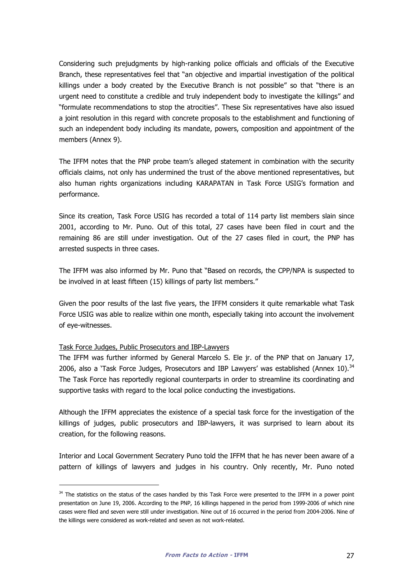Considering such prejudgments by high-ranking police officials and officials of the Executive Branch, these representatives feel that "an objective and impartial investigation of the political killings under a body created by the Executive Branch is not possible" so that "there is an urgent need to constitute a credible and truly independent body to investigate the killings" and "formulate recommendations to stop the atrocities". These Six representatives have also issued a joint resolution in this regard with concrete proposals to the establishment and functioning of such an independent body including its mandate, powers, composition and appointment of the members (Annex 9).

The IFFM notes that the PNP probe team's alleged statement in combination with the security officials claims, not only has undermined the trust of the above mentioned representatives, but also human rights organizations including KARAPATAN in Task Force USIG's formation and performance.

Since its creation, Task Force USIG has recorded a total of 114 party list members slain since 2001, according to Mr. Puno. Out of this total, 27 cases have been filed in court and the remaining 86 are still under investigation. Out of the 27 cases filed in court, the PNP has arrested suspects in three cases.

The IFFM was also informed by Mr. Puno that "Based on records, the CPP/NPA is suspected to be involved in at least fifteen (15) killings of party list members."

Given the poor results of the last five years, the IFFM considers it quite remarkable what Task Force USIG was able to realize within one month, especially taking into account the involvement of eye-witnesses.

#### Task Force Judges, Public Prosecutors and IBP-Lawyers

-

The IFFM was further informed by General Marcelo S. Ele jr. of the PNP that on January 17, 2006, also a 'Task Force Judges, Prosecutors and IBP Lawyers' was established (Annex 10). $34$ The Task Force has reportedly regional counterparts in order to streamline its coordinating and supportive tasks with regard to the local police conducting the investigations.

Although the IFFM appreciates the existence of a special task force for the investigation of the killings of judges, public prosecutors and IBP-lawyers, it was surprised to learn about its creation, for the following reasons.

Interior and Local Government Secratery Puno told the IFFM that he has never been aware of a pattern of killings of lawyers and judges in his country. Only recently, Mr. Puno noted

<sup>&</sup>lt;sup>34</sup> The statistics on the status of the cases handled by this Task Force were presented to the IFFM in a power point presentation on June 19, 2006. According to the PNP, 16 killings happened in the period from 1999-2006 of which nine cases were filed and seven were still under investigation. Nine out of 16 occurred in the period from 2004-2006. Nine of the killings were considered as work-related and seven as not work-related.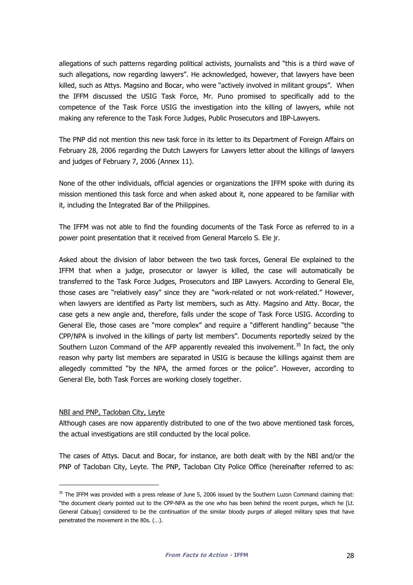allegations of such patterns regarding political activists, journalists and "this is a third wave of such allegations, now regarding lawyers". He acknowledged, however, that lawyers have been killed, such as Attys. Magsino and Bocar, who were "actively involved in militant groups". When the IFFM discussed the USIG Task Force, Mr. Puno promised to specifically add to the competence of the Task Force USIG the investigation into the killing of lawyers, while not making any reference to the Task Force Judges, Public Prosecutors and IBP-Lawyers.

The PNP did not mention this new task force in its letter to its Department of Foreign Affairs on February 28, 2006 regarding the Dutch Lawyers for Lawyers letter about the killings of lawyers and judges of February 7, 2006 (Annex 11).

None of the other individuals, official agencies or organizations the IFFM spoke with during its mission mentioned this task force and when asked about it, none appeared to be familiar with it, including the Integrated Bar of the Philippines.

The IFFM was not able to find the founding documents of the Task Force as referred to in a power point presentation that it received from General Marcelo S. Ele jr.

Asked about the division of labor between the two task forces, General Ele explained to the IFFM that when a judge, prosecutor or lawyer is killed, the case will automatically be transferred to the Task Force Judges, Prosecutors and IBP Lawyers. According to General Ele, those cases are "relatively easy" since they are "work-related or not work-related." However, when lawyers are identified as Party list members, such as Atty. Magsino and Atty. Bocar, the case gets a new angle and, therefore, falls under the scope of Task Force USIG. According to General Ele, those cases are "more complex" and require a "different handling" because "the CPP/NPA is involved in the killings of party list members". Documents reportedly seized by the Southern Luzon Command of the AFP apparently revealed this involvement.<sup>35</sup> In fact, the only reason why party list members are separated in USIG is because the killings against them are allegedly committed "by the NPA, the armed forces or the police". However, according to General Ele, both Task Forces are working closely together.

#### NBI and PNP, Tacloban City, Leyte

-

Although cases are now apparently distributed to one of the two above mentioned task forces, the actual investigations are still conducted by the local police.

The cases of Attys. Dacut and Bocar, for instance, are both dealt with by the NBI and/or the PNP of Tacloban City, Leyte. The PNP, Tacloban City Police Office (hereinafter referred to as:

<sup>&</sup>lt;sup>35</sup> The IFFM was provided with a press release of June 5, 2006 issued by the Southern Luzon Command claiming that: "the document clearly pointed out to the CPP-NPA as the one who has been behind the recent purges, which he [Lt. General Cabuay] considered to be the continuation of the similar bloody purges of alleged military spies that have penetrated the movement in the 80s. (…).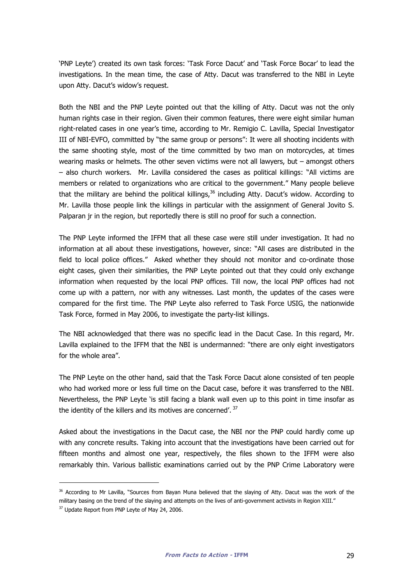'PNP Leyte') created its own task forces: 'Task Force Dacut' and 'Task Force Bocar' to lead the investigations. In the mean time, the case of Atty. Dacut was transferred to the NBI in Leyte upon Atty. Dacut's widow's request.

Both the NBI and the PNP Leyte pointed out that the killing of Atty. Dacut was not the only human rights case in their region. Given their common features, there were eight similar human right-related cases in one year's time, according to Mr. Remigio C. Lavilla, Special Investigator III of NBI-EVFO, committed by "the same group or persons": It were all shooting incidents with the same shooting style, most of the time committed by two man on motorcycles, at times wearing masks or helmets. The other seven victims were not all lawyers, but – amongst others – also church workers. Mr. Lavilla considered the cases as political killings: "All victims are members or related to organizations who are critical to the government." Many people believe that the military are behind the political killings,<sup>36</sup> including Atty. Dacut's widow. According to Mr. Lavilla those people link the killings in particular with the assignment of General Jovito S. Palparan jr in the region, but reportedly there is still no proof for such a connection.

The PNP Leyte informed the IFFM that all these case were still under investigation. It had no information at all about these investigations, however, since: "All cases are distributed in the field to local police offices." Asked whether they should not monitor and co-ordinate those eight cases, given their similarities, the PNP Leyte pointed out that they could only exchange information when requested by the local PNP offices. Till now, the local PNP offices had not come up with a pattern, nor with any witnesses. Last month, the updates of the cases were compared for the first time. The PNP Leyte also referred to Task Force USIG, the nationwide Task Force, formed in May 2006, to investigate the party-list killings.

The NBI acknowledged that there was no specific lead in the Dacut Case. In this regard, Mr. Lavilla explained to the IFFM that the NBI is undermanned: "there are only eight investigators for the whole area".

The PNP Leyte on the other hand, said that the Task Force Dacut alone consisted of ten people who had worked more or less full time on the Dacut case, before it was transferred to the NBI. Nevertheless, the PNP Leyte 'is still facing a blank wall even up to this point in time insofar as the identity of the killers and its motives are concerned'.  $37$ 

Asked about the investigations in the Dacut case, the NBI nor the PNP could hardly come up with any concrete results. Taking into account that the investigations have been carried out for fifteen months and almost one year, respectively, the files shown to the IFFM were also remarkably thin. Various ballistic examinations carried out by the PNP Crime Laboratory were

l

<sup>&</sup>lt;sup>36</sup> According to Mr Lavilla, "Sources from Bayan Muna believed that the slaying of Atty. Dacut was the work of the military basing on the trend of the slaying and attempts on the lives of anti-government activists in Region XIII." <sup>37</sup> Update Report from PNP Leyte of May 24, 2006.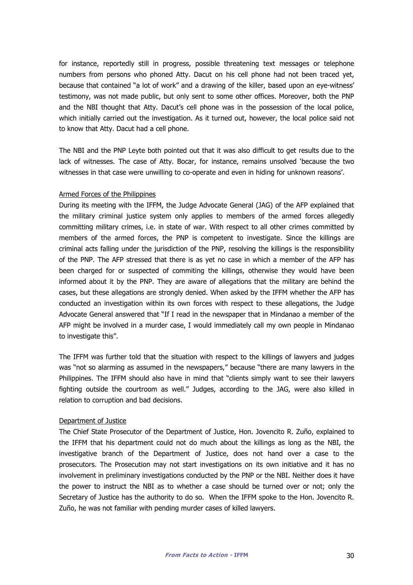for instance, reportedly still in progress, possible threatening text messages or telephone numbers from persons who phoned Atty. Dacut on his cell phone had not been traced yet, because that contained "a lot of work" and a drawing of the killer, based upon an eye-witness' testimony, was not made public, but only sent to some other offices. Moreover, both the PNP and the NBI thought that Atty. Dacut's cell phone was in the possession of the local police, which initially carried out the investigation. As it turned out, however, the local police said not to know that Atty. Dacut had a cell phone.

The NBI and the PNP Leyte both pointed out that it was also difficult to get results due to the lack of witnesses. The case of Atty. Bocar, for instance, remains unsolved 'because the two witnesses in that case were unwilling to co-operate and even in hiding for unknown reasons'.

#### Armed Forces of the Philippines

During its meeting with the IFFM, the Judge Advocate General (JAG) of the AFP explained that the military criminal justice system only applies to members of the armed forces allegedly committing military crimes, i.e. in state of war. With respect to all other crimes committed by members of the armed forces, the PNP is competent to investigate. Since the killings are criminal acts falling under the jurisdiction of the PNP, resolving the killings is the responsibility of the PNP. The AFP stressed that there is as yet no case in which a member of the AFP has been charged for or suspected of commiting the killings, otherwise they would have been informed about it by the PNP. They are aware of allegations that the military are behind the cases, but these allegations are strongly denied. When asked by the IFFM whether the AFP has conducted an investigation within its own forces with respect to these allegations, the Judge Advocate General answered that "If I read in the newspaper that in Mindanao a member of the AFP might be involved in a murder case, I would immediately call my own people in Mindanao to investigate this".

The IFFM was further told that the situation with respect to the killings of lawyers and judges was "not so alarming as assumed in the newspapers," because "there are many lawyers in the Philippines. The IFFM should also have in mind that "clients simply want to see their lawyers fighting outside the courtroom as well." Judges, according to the JAG, were also killed in relation to corruption and bad decisions.

#### Department of Justice

The Chief State Prosecutor of the Department of Justice, Hon. Jovencito R. Zuño, explained to the IFFM that his department could not do much about the killings as long as the NBI, the investigative branch of the Department of Justice, does not hand over a case to the prosecutors. The Prosecution may not start investigations on its own initiative and it has no involvement in preliminary investigations conducted by the PNP or the NBI. Neither does it have the power to instruct the NBI as to whether a case should be turned over or not; only the Secretary of Justice has the authority to do so. When the IFFM spoke to the Hon. Jovencito R. Zuño, he was not familiar with pending murder cases of killed lawyers.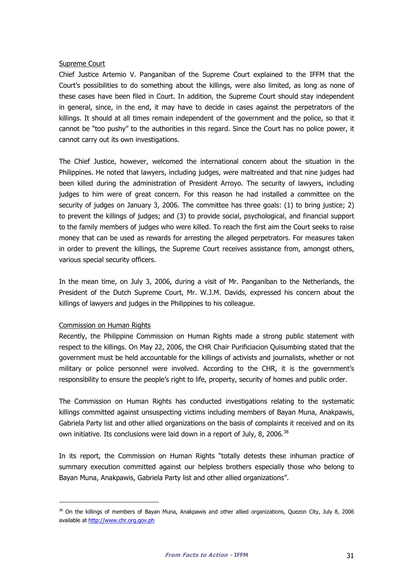#### Supreme Court

Chief Justice Artemio V. Panganiban of the Supreme Court explained to the IFFM that the Court's possibilities to do something about the killings, were also limited, as long as none of these cases have been filed in Court. In addition, the Supreme Court should stay independent in general, since, in the end, it may have to decide in cases against the perpetrators of the killings. It should at all times remain independent of the government and the police, so that it cannot be "too pushy" to the authorities in this regard. Since the Court has no police power, it cannot carry out its own investigations.

The Chief Justice, however, welcomed the international concern about the situation in the Philippines. He noted that lawyers, including judges, were maltreated and that nine judges had been killed during the administration of President Arroyo. The security of lawyers, including judges to him were of great concern. For this reason he had installed a committee on the security of judges on January 3, 2006. The committee has three goals: (1) to bring justice; 2) to prevent the killings of judges; and (3) to provide social, psychological, and financial support to the family members of judges who were killed. To reach the first aim the Court seeks to raise money that can be used as rewards for arresting the alleged perpetrators. For measures taken in order to prevent the killings, the Supreme Court receives assistance from, amongst others, various special security officers.

In the mean time, on July 3, 2006, during a visit of Mr. Panganiban to the Netherlands, the President of the Dutch Supreme Court, Mr. W.J.M. Davids, expressed his concern about the killings of lawyers and judges in the Philippines to his colleague.

#### Commission on Human Rights

i,

Recently, the Philippine Commission on Human Rights made a strong public statement with respect to the killings. On May 22, 2006, the CHR Chair Purificiacion Quisumbing stated that the government must be held accountable for the killings of activists and journalists, whether or not military or police personnel were involved. According to the CHR, it is the government's responsibility to ensure the people's right to life, property, security of homes and public order.

The Commission on Human Rights has conducted investigations relating to the systematic killings committed against unsuspecting victims including members of Bayan Muna, Anakpawis, Gabriela Party list and other allied organizations on the basis of complaints it received and on its own initiative. Its conclusions were laid down in a report of July, 8, 2006.<sup>38</sup>

In its report, the Commission on Human Rights "totally detests these inhuman practice of summary execution committed against our helpless brothers especially those who belong to Bayan Muna, Anakpawis, Gabriela Party list and other allied organizations".

<sup>&</sup>lt;sup>38</sup> On the killings of members of Bayan Muna, Anakpawis and other allied organizations, Quezon City, July 8, 2006 available at http://www.chr.org.gov.ph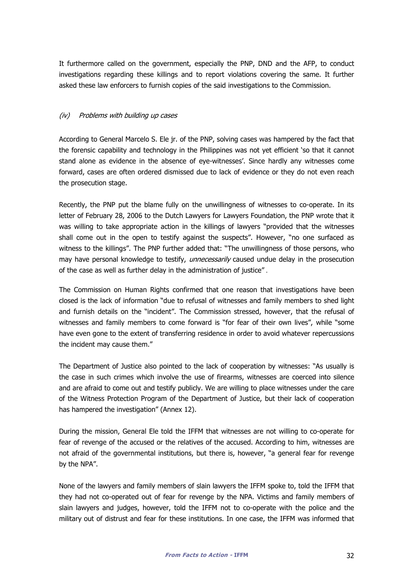It furthermore called on the government, especially the PNP, DND and the AFP, to conduct investigations regarding these killings and to report violations covering the same. It further asked these law enforcers to furnish copies of the said investigations to the Commission.

#### (iv) Problems with building up cases

According to General Marcelo S. Ele jr. of the PNP, solving cases was hampered by the fact that the forensic capability and technology in the Philippines was not yet efficient 'so that it cannot stand alone as evidence in the absence of eye-witnesses'. Since hardly any witnesses come forward, cases are often ordered dismissed due to lack of evidence or they do not even reach the prosecution stage.

Recently, the PNP put the blame fully on the unwillingness of witnesses to co-operate. In its letter of February 28, 2006 to the Dutch Lawyers for Lawyers Foundation, the PNP wrote that it was willing to take appropriate action in the killings of lawyers "provided that the witnesses shall come out in the open to testify against the suspects". However, "no one surfaced as witness to the killings". The PNP further added that: "The unwillingness of those persons, who may have personal knowledge to testify, *unnecessarily* caused undue delay in the prosecution of the case as well as further delay in the administration of justice" .

The Commission on Human Rights confirmed that one reason that investigations have been closed is the lack of information "due to refusal of witnesses and family members to shed light and furnish details on the "incident". The Commission stressed, however, that the refusal of witnesses and family members to come forward is "for fear of their own lives", while "some have even gone to the extent of transferring residence in order to avoid whatever repercussions the incident may cause them."

The Department of Justice also pointed to the lack of cooperation by witnesses: "As usually is the case in such crimes which involve the use of firearms, witnesses are coerced into silence and are afraid to come out and testify publicly. We are willing to place witnesses under the care of the Witness Protection Program of the Department of Justice, but their lack of cooperation has hampered the investigation" (Annex 12).

During the mission, General Ele told the IFFM that witnesses are not willing to co-operate for fear of revenge of the accused or the relatives of the accused. According to him, witnesses are not afraid of the governmental institutions, but there is, however, "a general fear for revenge by the NPA".

None of the lawyers and family members of slain lawyers the IFFM spoke to, told the IFFM that they had not co-operated out of fear for revenge by the NPA. Victims and family members of slain lawyers and judges, however, told the IFFM not to co-operate with the police and the military out of distrust and fear for these institutions. In one case, the IFFM was informed that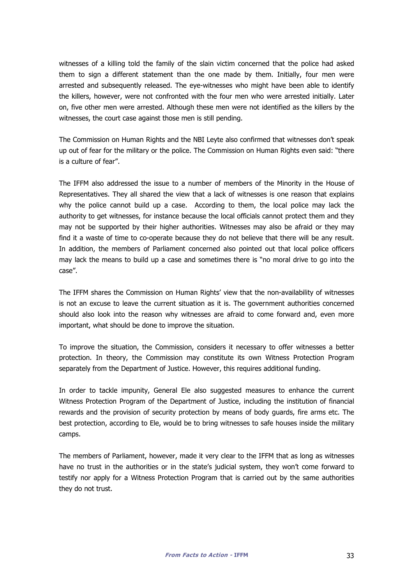witnesses of a killing told the family of the slain victim concerned that the police had asked them to sign a different statement than the one made by them. Initially, four men were arrested and subsequently released. The eye-witnesses who might have been able to identify the killers, however, were not confronted with the four men who were arrested initially. Later on, five other men were arrested. Although these men were not identified as the killers by the witnesses, the court case against those men is still pending.

The Commission on Human Rights and the NBI Leyte also confirmed that witnesses don't speak up out of fear for the military or the police. The Commission on Human Rights even said: "there is a culture of fear".

The IFFM also addressed the issue to a number of members of the Minority in the House of Representatives. They all shared the view that a lack of witnesses is one reason that explains why the police cannot build up a case. According to them, the local police may lack the authority to get witnesses, for instance because the local officials cannot protect them and they may not be supported by their higher authorities. Witnesses may also be afraid or they may find it a waste of time to co-operate because they do not believe that there will be any result. In addition, the members of Parliament concerned also pointed out that local police officers may lack the means to build up a case and sometimes there is "no moral drive to go into the case".

The IFFM shares the Commission on Human Rights' view that the non-availability of witnesses is not an excuse to leave the current situation as it is. The government authorities concerned should also look into the reason why witnesses are afraid to come forward and, even more important, what should be done to improve the situation.

To improve the situation, the Commission, considers it necessary to offer witnesses a better protection. In theory, the Commission may constitute its own Witness Protection Program separately from the Department of Justice. However, this requires additional funding.

In order to tackle impunity, General Ele also suggested measures to enhance the current Witness Protection Program of the Department of Justice, including the institution of financial rewards and the provision of security protection by means of body guards, fire arms etc. The best protection, according to Ele, would be to bring witnesses to safe houses inside the military camps.

The members of Parliament, however, made it very clear to the IFFM that as long as witnesses have no trust in the authorities or in the state's judicial system, they won't come forward to testify nor apply for a Witness Protection Program that is carried out by the same authorities they do not trust.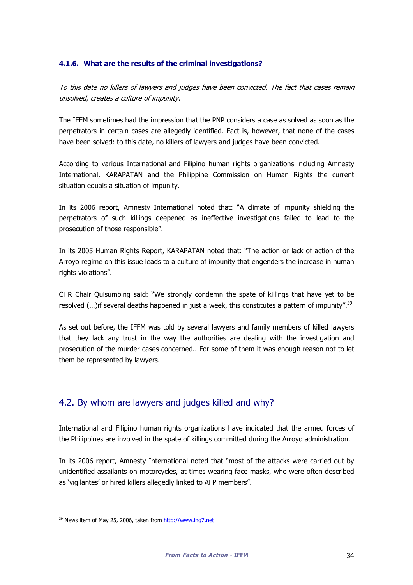#### 4.1.6. What are the results of the criminal investigations?

To this date no killers of lawyers and judges have been convicted. The fact that cases remain unsolved, creates a culture of impunity.

The IFFM sometimes had the impression that the PNP considers a case as solved as soon as the perpetrators in certain cases are allegedly identified. Fact is, however, that none of the cases have been solved: to this date, no killers of lawyers and judges have been convicted.

According to various International and Filipino human rights organizations including Amnesty International, KARAPATAN and the Philippine Commission on Human Rights the current situation equals a situation of impunity.

In its 2006 report, Amnesty International noted that: "A climate of impunity shielding the perpetrators of such killings deepened as ineffective investigations failed to lead to the prosecution of those responsible".

In its 2005 Human Rights Report, KARAPATAN noted that: "The action or lack of action of the Arroyo regime on this issue leads to a culture of impunity that engenders the increase in human rights violations".

CHR Chair Quisumbing said: "We strongly condemn the spate of killings that have yet to be resolved  $(...)$  if several deaths happened in just a week, this constitutes a pattern of impunity".<sup>39</sup>

As set out before, the IFFM was told by several lawyers and family members of killed lawyers that they lack any trust in the way the authorities are dealing with the investigation and prosecution of the murder cases concerned.. For some of them it was enough reason not to let them be represented by lawyers.

### 4.2. By whom are lawyers and judges killed and why?

International and Filipino human rights organizations have indicated that the armed forces of the Philippines are involved in the spate of killings committed during the Arroyo administration.

In its 2006 report, Amnesty International noted that "most of the attacks were carried out by unidentified assailants on motorcycles, at times wearing face masks, who were often described as 'vigilantes' or hired killers allegedly linked to AFP members".

l

<sup>39</sup> News item of May 25, 2006, taken from http://www.inq7.net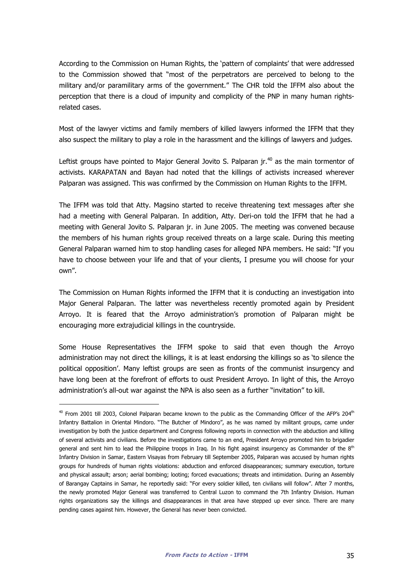According to the Commission on Human Rights, the 'pattern of complaints' that were addressed to the Commission showed that "most of the perpetrators are perceived to belong to the military and/or paramilitary arms of the government." The CHR told the IFFM also about the perception that there is a cloud of impunity and complicity of the PNP in many human rightsrelated cases.

Most of the lawyer victims and family members of killed lawyers informed the IFFM that they also suspect the military to play a role in the harassment and the killings of lawyers and judges.

Leftist groups have pointed to Major General Jovito S. Palparan  $ir^{40}$  as the main tormentor of activists. KARAPATAN and Bayan had noted that the killings of activists increased wherever Palparan was assigned. This was confirmed by the Commission on Human Rights to the IFFM.

The IFFM was told that Atty. Magsino started to receive threatening text messages after she had a meeting with General Palparan. In addition, Atty. Deri-on told the IFFM that he had a meeting with General Jovito S. Palparan jr. in June 2005. The meeting was convened because the members of his human rights group received threats on a large scale. During this meeting General Palparan warned him to stop handling cases for alleged NPA members. He said: "If you have to choose between your life and that of your clients, I presume you will choose for your own".

The Commission on Human Rights informed the IFFM that it is conducting an investigation into Major General Palparan. The latter was nevertheless recently promoted again by President Arroyo. It is feared that the Arroyo administration's promotion of Palparan might be encouraging more extrajudicial killings in the countryside.

Some House Representatives the IFFM spoke to said that even though the Arroyo administration may not direct the killings, it is at least endorsing the killings so as 'to silence the political opposition'. Many leftist groups are seen as fronts of the communist insurgency and have long been at the forefront of efforts to oust President Arroyo. In light of this, the Arroyo administration's all-out war against the NPA is also seen as a further "invitation" to kill.

-

 $40$  From 2001 till 2003, Colonel Palparan became known to the public as the Commanding Officer of the AFP's 204<sup>th</sup> Infantry Battalion in Oriental Mindoro. "The Butcher of Mindoro", as he was named by militant groups, came under investigation by both the justice department and Congress following reports in connection with the abduction and killing of several activists and civilians. Before the investigations came to an end, President Arroyo promoted him to brigadier general and sent him to lead the Philippine troops in Iraq. In his fight against insurgency as Commander of the  $8<sup>th</sup>$ Infantry Division in Samar, Eastern Visayas from February till September 2005, Palparan was accused by human rights groups for hundreds of human rights violations: abduction and enforced disappearances; summary execution, torture and physical assault; arson; aerial bombing; looting; forced evacuations; threats and intimidation. During an Assembly of Barangay Captains in Samar, he reportedly said: "For every soldier killed, ten civilians will follow". After 7 months, the newly promoted Major General was transferred to Central Luzon to command the 7th Infantry Division. Human rights organizations say the killings and disappearances in that area have stepped up ever since. There are many pending cases against him. However, the General has never been convicted.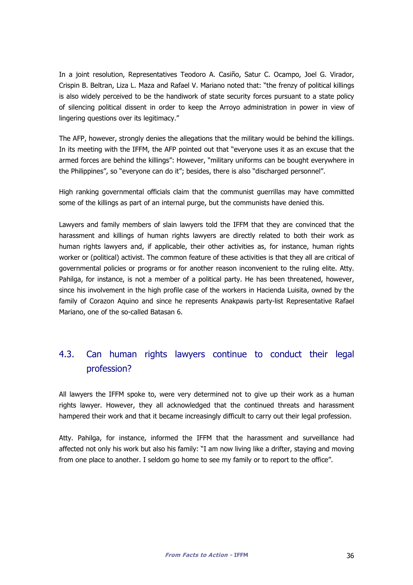In a joint resolution, Representatives Teodoro A. Casiño, Satur C. Ocampo, Joel G. Virador, Crispin B. Beltran, Liza L. Maza and Rafael V. Mariano noted that: "the frenzy of political killings is also widely perceived to be the handiwork of state security forces pursuant to a state policy of silencing political dissent in order to keep the Arroyo administration in power in view of lingering questions over its legitimacy."

The AFP, however, strongly denies the allegations that the military would be behind the killings. In its meeting with the IFFM, the AFP pointed out that "everyone uses it as an excuse that the armed forces are behind the killings": However, "military uniforms can be bought everywhere in the Philippines", so "everyone can do it"; besides, there is also "discharged personnel".

High ranking governmental officials claim that the communist guerrillas may have committed some of the killings as part of an internal purge, but the communists have denied this.

Lawyers and family members of slain lawyers told the IFFM that they are convinced that the harassment and killings of human rights lawyers are directly related to both their work as human rights lawyers and, if applicable, their other activities as, for instance, human rights worker or (political) activist. The common feature of these activities is that they all are critical of governmental policies or programs or for another reason inconvenient to the ruling elite. Atty. Pahilga, for instance, is not a member of a political party. He has been threatened, however, since his involvement in the high profile case of the workers in Hacienda Luisita, owned by the family of Corazon Aquino and since he represents Anakpawis party-list Representative Rafael Mariano, one of the so-called Batasan 6.

# 4.3. Can human rights lawyers continue to conduct their legal profession?

All lawyers the IFFM spoke to, were very determined not to give up their work as a human rights lawyer. However, they all acknowledged that the continued threats and harassment hampered their work and that it became increasingly difficult to carry out their legal profession.

Atty. Pahilga, for instance, informed the IFFM that the harassment and surveillance had affected not only his work but also his family: "I am now living like a drifter, staying and moving from one place to another. I seldom go home to see my family or to report to the office".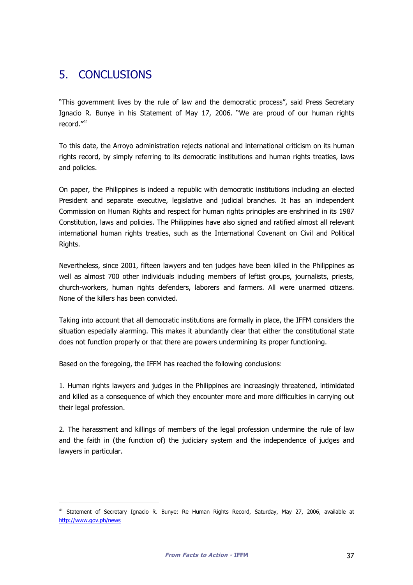# 5. CONCLUSIONS

i,

"This government lives by the rule of law and the democratic process", said Press Secretary Ignacio R. Bunye in his Statement of May 17, 2006. "We are proud of our human rights record."<sup>41</sup>

To this date, the Arroyo administration rejects national and international criticism on its human rights record, by simply referring to its democratic institutions and human rights treaties, laws and policies.

On paper, the Philippines is indeed a republic with democratic institutions including an elected President and separate executive, legislative and judicial branches. It has an independent Commission on Human Rights and respect for human rights principles are enshrined in its 1987 Constitution, laws and policies. The Philippines have also signed and ratified almost all relevant international human rights treaties, such as the International Covenant on Civil and Political Rights.

Nevertheless, since 2001, fifteen lawyers and ten judges have been killed in the Philippines as well as almost 700 other individuals including members of leftist groups, journalists, priests, church-workers, human rights defenders, laborers and farmers. All were unarmed citizens. None of the killers has been convicted.

Taking into account that all democratic institutions are formally in place, the IFFM considers the situation especially alarming. This makes it abundantly clear that either the constitutional state does not function properly or that there are powers undermining its proper functioning.

Based on the foregoing, the IFFM has reached the following conclusions:

1. Human rights lawyers and judges in the Philippines are increasingly threatened, intimidated and killed as a consequence of which they encounter more and more difficulties in carrying out their legal profession.

2. The harassment and killings of members of the legal profession undermine the rule of law and the faith in (the function of) the judiciary system and the independence of judges and lawyers in particular.

<sup>&</sup>lt;sup>41</sup> Statement of Secretary Ignacio R. Bunye: Re Human Rights Record, Saturday, May 27, 2006, available at http://www.gov.ph/news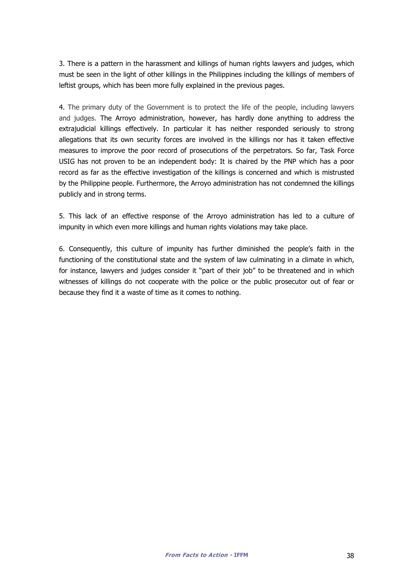3. There is a pattern in the harassment and killings of human rights lawyers and judges, which must be seen in the light of other killings in the Philippines including the killings of members of leftist groups, which has been more fully explained in the previous pages.

4. The primary duty of the Government is to protect the life of the people, including lawyers and judges. The Arroyo administration, however, has hardly done anything to address the extrajudicial killings effectively. In particular it has neither responded seriously to strong allegations that its own security forces are involved in the killings nor has it taken effective measures to improve the poor record of prosecutions of the perpetrators. So far, Task Force USIG has not proven to be an independent body: It is chaired by the PNP which has a poor record as far as the effective investigation of the killings is concerned and which is mistrusted by the Philippine people. Furthermore, the Arroyo administration has not condemned the killings publicly and in strong terms.

5. This lack of an effective response of the Arroyo administration has led to a culture of impunity in which even more killings and human rights violations may take place.

6. Consequently, this culture of impunity has further diminished the people's faith in the functioning of the constitutional state and the system of law culminating in a climate in which, for instance, lawyers and judges consider it "part of their job" to be threatened and in which witnesses of killings do not cooperate with the police or the public prosecutor out of fear or because they find it a waste of time as it comes to nothing.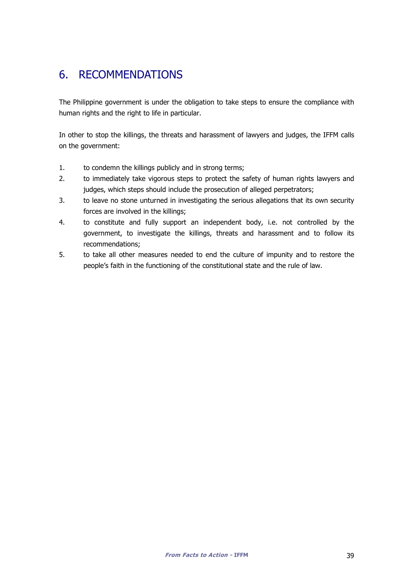# 6. RECOMMENDATIONS

The Philippine government is under the obligation to take steps to ensure the compliance with human rights and the right to life in particular.

In other to stop the killings, the threats and harassment of lawyers and judges, the IFFM calls on the government:

- 1. to condemn the killings publicly and in strong terms;
- 2. to immediately take vigorous steps to protect the safety of human rights lawyers and judges, which steps should include the prosecution of alleged perpetrators;
- 3. to leave no stone unturned in investigating the serious allegations that its own security forces are involved in the killings;
- 4. to constitute and fully support an independent body, i.e. not controlled by the government, to investigate the killings, threats and harassment and to follow its recommendations;
- 5. to take all other measures needed to end the culture of impunity and to restore the people's faith in the functioning of the constitutional state and the rule of law.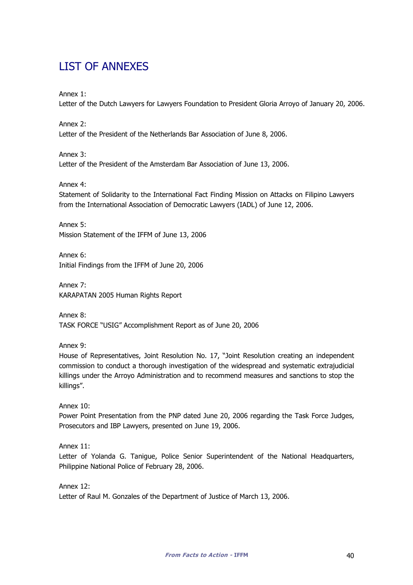# LIST OF ANNEXES

Annex 1:

Letter of the Dutch Lawyers for Lawyers Foundation to President Gloria Arroyo of January 20, 2006.

Annex 2:

Letter of the President of the Netherlands Bar Association of June 8, 2006.

Annex 3: Letter of the President of the Amsterdam Bar Association of June 13, 2006.

Annex 4:

Statement of Solidarity to the International Fact Finding Mission on Attacks on Filipino Lawyers from the International Association of Democratic Lawyers (IADL) of June 12, 2006.

Annex 5: Mission Statement of the IFFM of June 13, 2006

Annex 6: Initial Findings from the IFFM of June 20, 2006

Annex 7: KARAPATAN 2005 Human Rights Report

Annex 8: TASK FORCE "USIG" Accomplishment Report as of June 20, 2006

Annex 9:

House of Representatives, Joint Resolution No. 17, "Joint Resolution creating an independent commission to conduct a thorough investigation of the widespread and systematic extrajudicial killings under the Arroyo Administration and to recommend measures and sanctions to stop the killings".

Annex 10:

Power Point Presentation from the PNP dated June 20, 2006 regarding the Task Force Judges, Prosecutors and IBP Lawyers, presented on June 19, 2006.

Annex 11:

Letter of Yolanda G. Tanigue, Police Senior Superintendent of the National Headquarters, Philippine National Police of February 28, 2006.

Annex 12:

Letter of Raul M. Gonzales of the Department of Justice of March 13, 2006.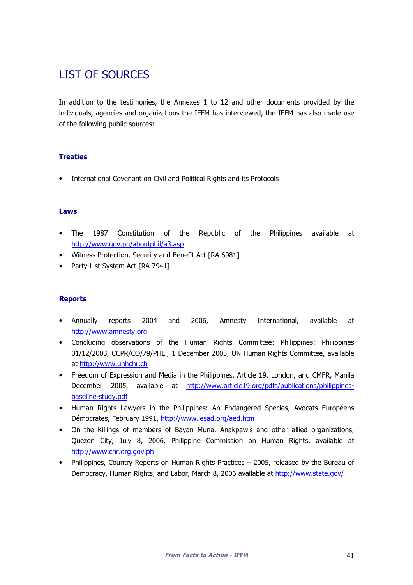# LIST OF SOURCES

In addition to the testimonies, the Annexes 1 to 12 and other documents provided by the individuals, agencies and organizations the IFFM has interviewed, the IFFM has also made use of the following public sources:

#### **Treaties**

• International Covenant on Civil and Political Rights and its Protocols

#### Laws

- The 1987 Constitution of the Republic of the Philippines available at http://www.gov.ph/aboutphil/a3.asp
- Witness Protection, Security and Benefit Act [RA 6981]
- Party-List System Act [RA 7941]

#### **Reports**

- Annually reports 2004 and 2006, Amnesty International, available at http://www.amnesty.org
- Concluding observations of the Human Rights Committee: Philippines: Philippines 01/12/2003, CCPR/CO/79/PHL., 1 December 2003, UN Human Rights Committee, available at http://www.unhchr.ch
- Freedom of Expression and Media in the Philippines, Article 19, London, and CMFR, Manila December 2005, available at http://www.article19.org/pdfs/publications/philippinesbaseline-study.pdf
- Human Rights Lawyers in the Philippines: An Endangered Species, Avocats Européens Démocrates, February 1991, http://www.lesad.org/aed.htm
- On the Killings of members of Bayan Muna, Anakpawis and other allied organizations, Quezon City, July 8, 2006, Philippine Commission on Human Rights, available at http://www.chr.org.gov.ph
- Philippines, Country Reports on Human Rights Practices 2005, released by the Bureau of Democracy, Human Rights, and Labor, March 8, 2006 available at http://www.state.gov/